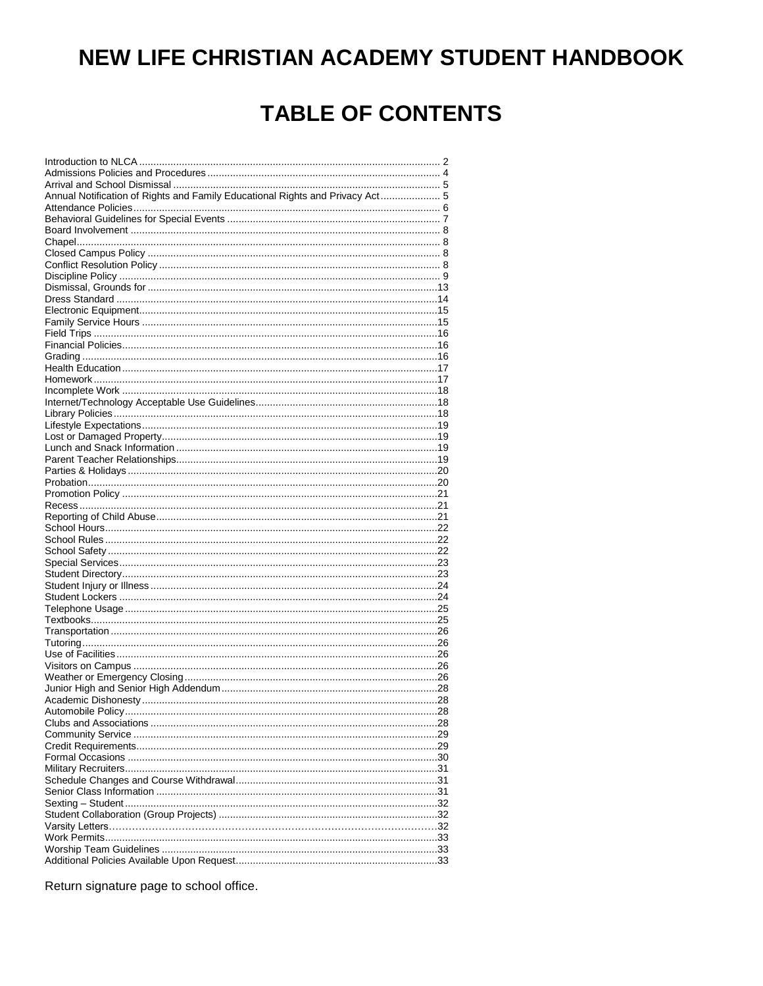# NEW LIFE CHRISTIAN ACADEMY STUDENT HANDBOOK

# **TABLE OF CONTENTS**

| Annual Notification of Rights and Family Educational Rights and Privacy Act 5 |  |
|-------------------------------------------------------------------------------|--|
|                                                                               |  |
|                                                                               |  |
|                                                                               |  |
|                                                                               |  |
|                                                                               |  |
|                                                                               |  |
|                                                                               |  |
|                                                                               |  |
|                                                                               |  |
|                                                                               |  |
|                                                                               |  |
|                                                                               |  |
|                                                                               |  |
|                                                                               |  |
|                                                                               |  |
|                                                                               |  |
|                                                                               |  |
|                                                                               |  |
|                                                                               |  |
|                                                                               |  |
|                                                                               |  |
|                                                                               |  |
|                                                                               |  |
|                                                                               |  |
|                                                                               |  |
|                                                                               |  |
|                                                                               |  |
|                                                                               |  |
|                                                                               |  |
|                                                                               |  |
|                                                                               |  |
|                                                                               |  |
|                                                                               |  |
|                                                                               |  |
|                                                                               |  |
|                                                                               |  |
|                                                                               |  |
|                                                                               |  |
|                                                                               |  |
|                                                                               |  |
|                                                                               |  |
|                                                                               |  |
|                                                                               |  |
|                                                                               |  |
|                                                                               |  |
|                                                                               |  |
|                                                                               |  |
|                                                                               |  |
|                                                                               |  |
|                                                                               |  |
|                                                                               |  |
|                                                                               |  |
|                                                                               |  |
|                                                                               |  |
|                                                                               |  |
|                                                                               |  |
|                                                                               |  |
|                                                                               |  |
|                                                                               |  |
|                                                                               |  |
|                                                                               |  |
|                                                                               |  |
|                                                                               |  |
|                                                                               |  |
|                                                                               |  |
|                                                                               |  |

Return signature page to school office.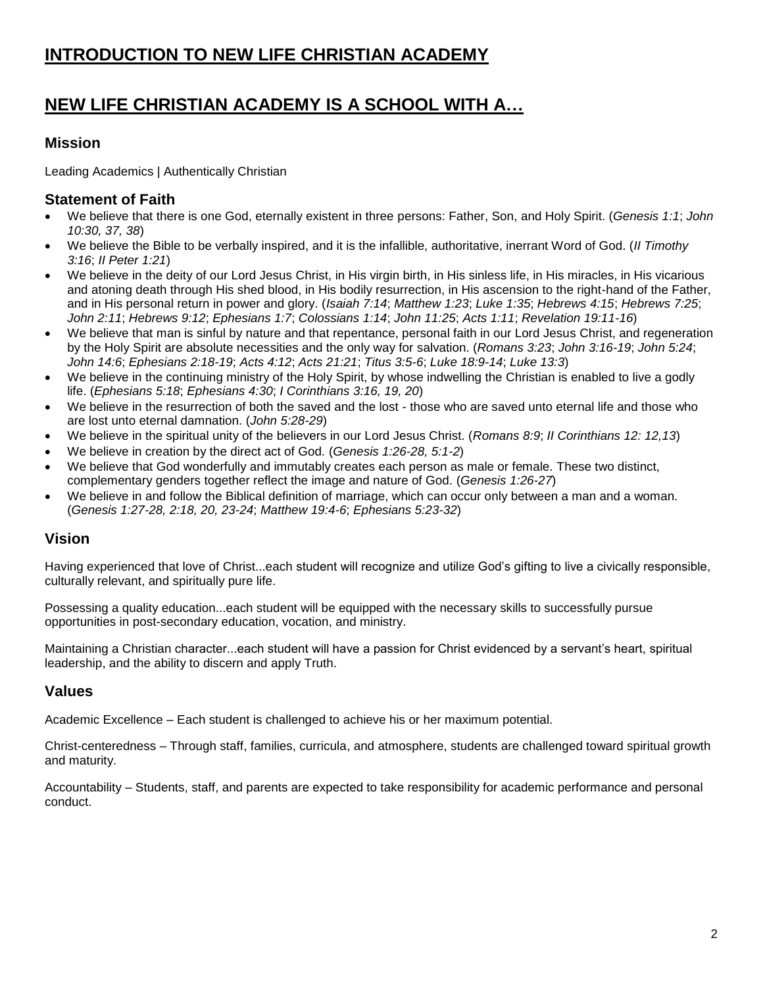## <span id="page-1-0"></span>**NEW LIFE CHRISTIAN ACADEMY IS A SCHOOL WITH A…**

#### **Mission**

Leading Academics | Authentically Christian

#### **Statement of Faith**

- We believe that there is one God, eternally existent in three persons: Father, Son, and Holy Spirit. (*Genesis 1:1*; *John 10:30, 37, 38*)
- We believe the Bible to be verbally inspired, and it is the infallible, authoritative, inerrant Word of God. (*II Timothy 3:16*; *II Peter 1:21*)
- We believe in the deity of our Lord Jesus Christ, in His virgin birth, in His sinless life, in His miracles, in His vicarious and atoning death through His shed blood, in His bodily resurrection, in His ascension to the right-hand of the Father, and in His personal return in power and glory. (*Isaiah 7:14*; *Matthew 1:23*; *Luke 1:35*; *Hebrews 4:15*; *Hebrews 7:25*; *John 2:11*; *Hebrews 9:12*; *Ephesians 1:7*; *Colossians 1:14*; *John 11:25*; *Acts 1:11*; *Revelation 19:11-16*)
- We believe that man is sinful by nature and that repentance, personal faith in our Lord Jesus Christ, and regeneration by the Holy Spirit are absolute necessities and the only way for salvation. (*Romans 3:23*; *John 3:16-19*; *John 5:24*; *John 14:6*; *Ephesians 2:18-19*; *Acts 4:12*; *Acts 21:21*; *Titus 3:5-6*; *Luke 18:9-14*; *Luke 13:3*)
- We believe in the continuing ministry of the Holy Spirit, by whose indwelling the Christian is enabled to live a godly life. (*Ephesians 5:18*; *Ephesians 4:30*; *I Corinthians 3:16, 19, 20*)
- We believe in the resurrection of both the saved and the lost those who are saved unto eternal life and those who are lost unto eternal damnation. (*John 5:28-29*)
- We believe in the spiritual unity of the believers in our Lord Jesus Christ. (*Romans 8:9*; *II Corinthians 12: 12,13*)
- We believe in creation by the direct act of God. (*Genesis 1:26-28, 5:1-2*)
- We believe that God wonderfully and immutably creates each person as male or female. These two distinct, complementary genders together reflect the image and nature of God. (*Genesis 1:26-27*)
- We believe in and follow the Biblical definition of marriage, which can occur only between a man and a woman. (*Genesis 1:27-28, 2:18, 20, 23-24*; *Matthew 19:4-6*; *Ephesians 5:23-32*)

#### **Vision**

Having experienced that love of Christ...each student will recognize and utilize God's gifting to live a civically responsible, culturally relevant, and spiritually pure life.

Possessing a quality education...each student will be equipped with the necessary skills to successfully pursue opportunities in post-secondary education, vocation, and ministry.

Maintaining a Christian character...each student will have a passion for Christ evidenced by a servant's heart, spiritual leadership, and the ability to discern and apply Truth.

### **Values**

Academic Excellence – Each student is challenged to achieve his or her maximum potential.

Christ-centeredness – Through staff, families, curricula, and atmosphere, students are challenged toward spiritual growth and maturity.

Accountability – Students, staff, and parents are expected to take responsibility for academic performance and personal conduct.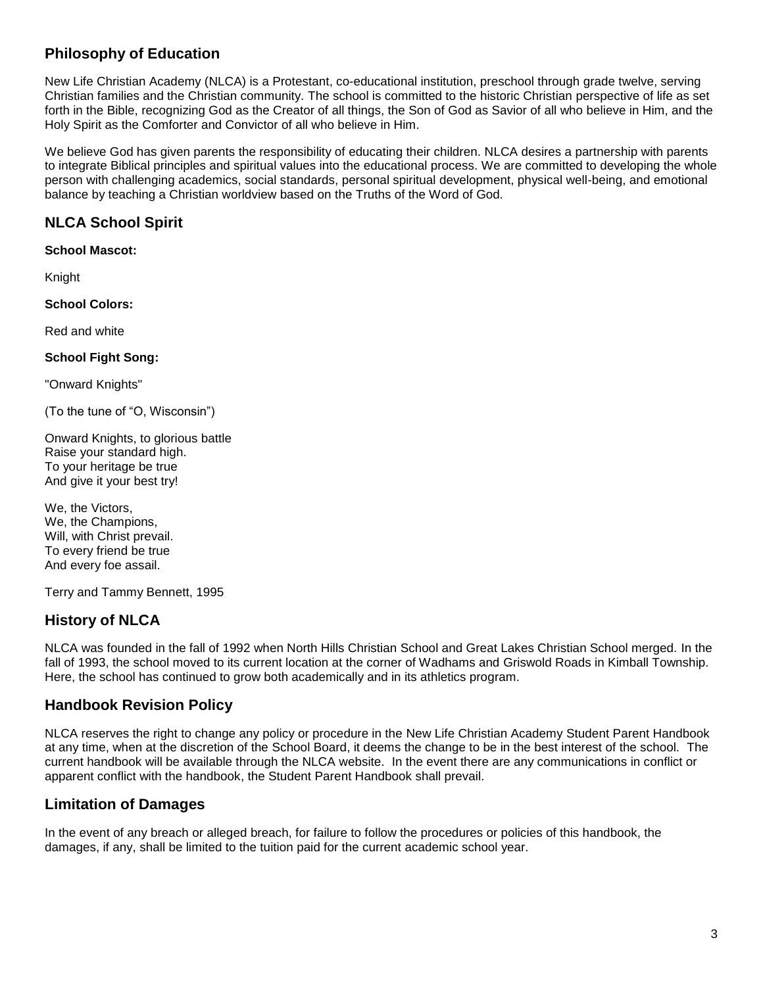### **Philosophy of Education**

New Life Christian Academy (NLCA) is a Protestant, co-educational institution, preschool through grade twelve, serving Christian families and the Christian community. The school is committed to the historic Christian perspective of life as set forth in the Bible, recognizing God as the Creator of all things, the Son of God as Savior of all who believe in Him, and the Holy Spirit as the Comforter and Convictor of all who believe in Him.

We believe God has given parents the responsibility of educating their children. NLCA desires a partnership with parents to integrate Biblical principles and spiritual values into the educational process. We are committed to developing the whole person with challenging academics, social standards, personal spiritual development, physical well-being, and emotional balance by teaching a Christian worldview based on the Truths of the Word of God.

### **NLCA School Spirit**

**School Mascot:**

Knight

**School Colors:**

Red and white

**School Fight Song:**

"Onward Knights"

(To the tune of "O, Wisconsin")

Onward Knights, to glorious battle Raise your standard high. To your heritage be true And give it your best try!

We, the Victors, We, the Champions, Will, with Christ prevail. To every friend be true And every foe assail.

Terry and Tammy Bennett, 1995

### **History of NLCA**

NLCA was founded in the fall of 1992 when North Hills Christian School and Great Lakes Christian School merged. In the fall of 1993, the school moved to its current location at the corner of Wadhams and Griswold Roads in Kimball Township. Here, the school has continued to grow both academically and in its athletics program.

#### **Handbook Revision Policy**

NLCA reserves the right to change any policy or procedure in the New Life Christian Academy Student Parent Handbook at any time, when at the discretion of the School Board, it deems the change to be in the best interest of the school. The current handbook will be available through the NLCA website. In the event there are any communications in conflict or apparent conflict with the handbook, the Student Parent Handbook shall prevail.

### **Limitation of Damages**

<span id="page-2-0"></span>In the event of any breach or alleged breach, for failure to follow the procedures or policies of this handbook, the damages, if any, shall be limited to the tuition paid for the current academic school year.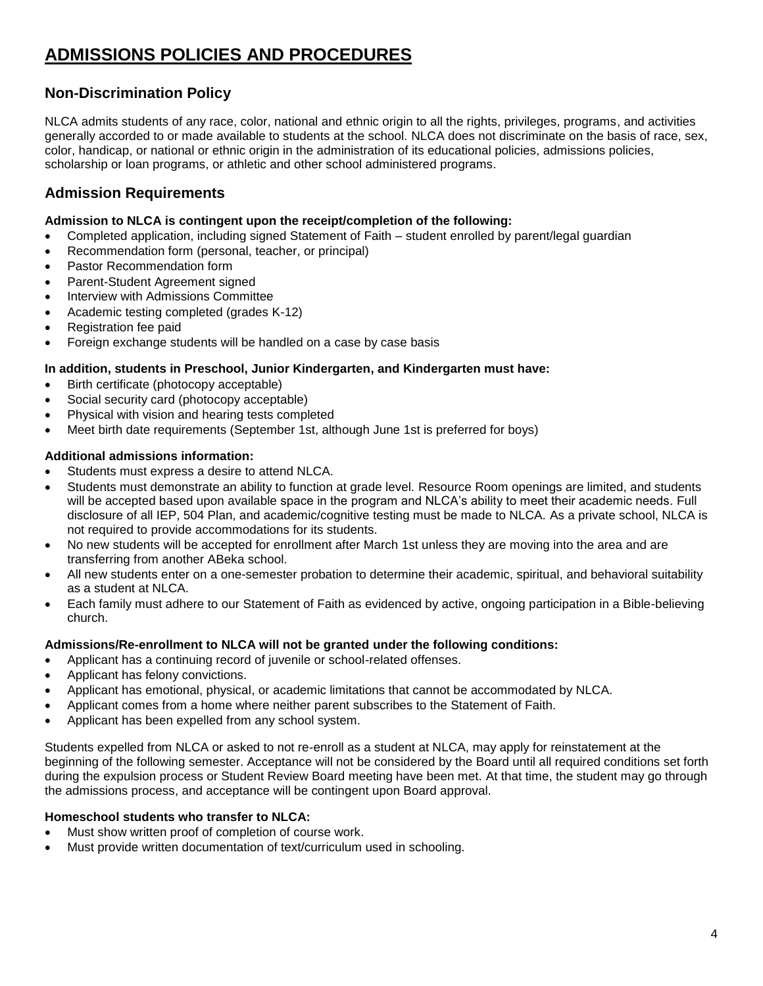## **ADMISSIONS POLICIES AND PROCEDURES**

### **Non-Discrimination Policy**

NLCA admits students of any race, color, national and ethnic origin to all the rights, privileges, programs, and activities generally accorded to or made available to students at the school. NLCA does not discriminate on the basis of race, sex, color, handicap, or national or ethnic origin in the administration of its educational policies, admissions policies, scholarship or loan programs, or athletic and other school administered programs.

#### **Admission Requirements**

#### **Admission to NLCA is contingent upon the receipt/completion of the following:**

- Completed application, including signed Statement of Faith student enrolled by parent/legal guardian
- Recommendation form (personal, teacher, or principal)
- Pastor Recommendation form
- Parent-Student Agreement signed
- Interview with Admissions Committee
- Academic testing completed (grades K-12)
- Registration fee paid
- Foreign exchange students will be handled on a case by case basis

#### **In addition, students in Preschool, Junior Kindergarten, and Kindergarten must have:**

- Birth certificate (photocopy acceptable)
- Social security card (photocopy acceptable)
- Physical with vision and hearing tests completed
- Meet birth date requirements (September 1st, although June 1st is preferred for boys)

#### **Additional admissions information:**

- Students must express a desire to attend NLCA.
- Students must demonstrate an ability to function at grade level. Resource Room openings are limited, and students will be accepted based upon available space in the program and NLCA's ability to meet their academic needs. Full disclosure of all IEP, 504 Plan, and academic/cognitive testing must be made to NLCA. As a private school, NLCA is not required to provide accommodations for its students.
- No new students will be accepted for enrollment after March 1st unless they are moving into the area and are transferring from another ABeka school.
- All new students enter on a one-semester probation to determine their academic, spiritual, and behavioral suitability as a student at NLCA.
- Each family must adhere to our Statement of Faith as evidenced by active, ongoing participation in a Bible-believing church.

#### **Admissions/Re-enrollment to NLCA will not be granted under the following conditions:**

- Applicant has a continuing record of juvenile or school-related offenses.
- Applicant has felony convictions.
- Applicant has emotional, physical, or academic limitations that cannot be accommodated by NLCA.
- Applicant comes from a home where neither parent subscribes to the Statement of Faith.
- Applicant has been expelled from any school system.

Students expelled from NLCA or asked to not re-enroll as a student at NLCA, may apply for reinstatement at the beginning of the following semester. Acceptance will not be considered by the Board until all required conditions set forth during the expulsion process or Student Review Board meeting have been met. At that time, the student may go through the admissions process, and acceptance will be contingent upon Board approval.

#### **Homeschool students who transfer to NLCA:**

- Must show written proof of completion of course work.
- Must provide written documentation of text/curriculum used in schooling.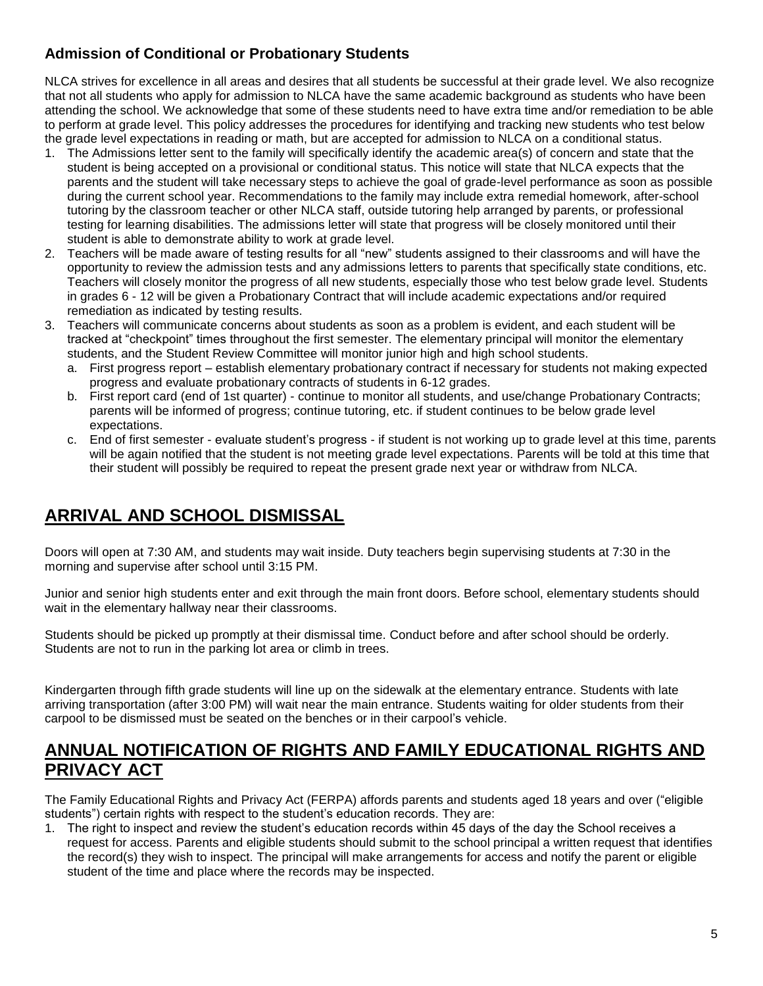### **Admission of Conditional or Probationary Students**

NLCA strives for excellence in all areas and desires that all students be successful at their grade level. We also recognize that not all students who apply for admission to NLCA have the same academic background as students who have been attending the school. We acknowledge that some of these students need to have extra time and/or remediation to be able to perform at grade level. This policy addresses the procedures for identifying and tracking new students who test below the grade level expectations in reading or math, but are accepted for admission to NLCA on a conditional status.

- 1. The Admissions letter sent to the family will specifically identify the academic area(s) of concern and state that the student is being accepted on a provisional or conditional status. This notice will state that NLCA expects that the parents and the student will take necessary steps to achieve the goal of grade-level performance as soon as possible during the current school year. Recommendations to the family may include extra remedial homework, after-school tutoring by the classroom teacher or other NLCA staff, outside tutoring help arranged by parents, or professional testing for learning disabilities. The admissions letter will state that progress will be closely monitored until their student is able to demonstrate ability to work at grade level.
- 2. Teachers will be made aware of testing results for all "new" students assigned to their classrooms and will have the opportunity to review the admission tests and any admissions letters to parents that specifically state conditions, etc. Teachers will closely monitor the progress of all new students, especially those who test below grade level. Students in grades 6 - 12 will be given a Probationary Contract that will include academic expectations and/or required remediation as indicated by testing results.
- 3. Teachers will communicate concerns about students as soon as a problem is evident, and each student will be tracked at "checkpoint" times throughout the first semester. The elementary principal will monitor the elementary students, and the Student Review Committee will monitor junior high and high school students.
	- a. First progress report establish elementary probationary contract if necessary for students not making expected progress and evaluate probationary contracts of students in 6-12 grades.
	- b. First report card (end of 1st quarter) continue to monitor all students, and use/change Probationary Contracts; parents will be informed of progress; continue tutoring, etc. if student continues to be below grade level expectations.
	- c. End of first semester evaluate student's progress if student is not working up to grade level at this time, parents will be again notified that the student is not meeting grade level expectations. Parents will be told at this time that their student will possibly be required to repeat the present grade next year or withdraw from NLCA.

## <span id="page-4-0"></span>**ARRIVAL AND SCHOOL DISMISSAL**

Doors will open at 7:30 AM, and students may wait inside. Duty teachers begin supervising students at 7:30 in the morning and supervise after school until 3:15 PM.

Junior and senior high students enter and exit through the main front doors. Before school, elementary students should wait in the elementary hallway near their classrooms.

Students should be picked up promptly at their dismissal time. Conduct before and after school should be orderly. Students are not to run in the parking lot area or climb in trees.

Kindergarten through fifth grade students will line up on the sidewalk at the elementary entrance. Students with late arriving transportation (after 3:00 PM) will wait near the main entrance. Students waiting for older students from their carpool to be dismissed must be seated on the benches or in their carpool's vehicle.

### <span id="page-4-1"></span>**ANNUAL NOTIFICATION OF RIGHTS AND FAMILY EDUCATIONAL RIGHTS AND PRIVACY ACT**

The Family Educational Rights and Privacy Act (FERPA) affords parents and students aged 18 years and over ("eligible students") certain rights with respect to the student's education records. They are:

1. The right to inspect and review the student's education records within 45 days of the day the School receives a request for access. Parents and eligible students should submit to the school principal a written request that identifies the record(s) they wish to inspect. The principal will make arrangements for access and notify the parent or eligible student of the time and place where the records may be inspected.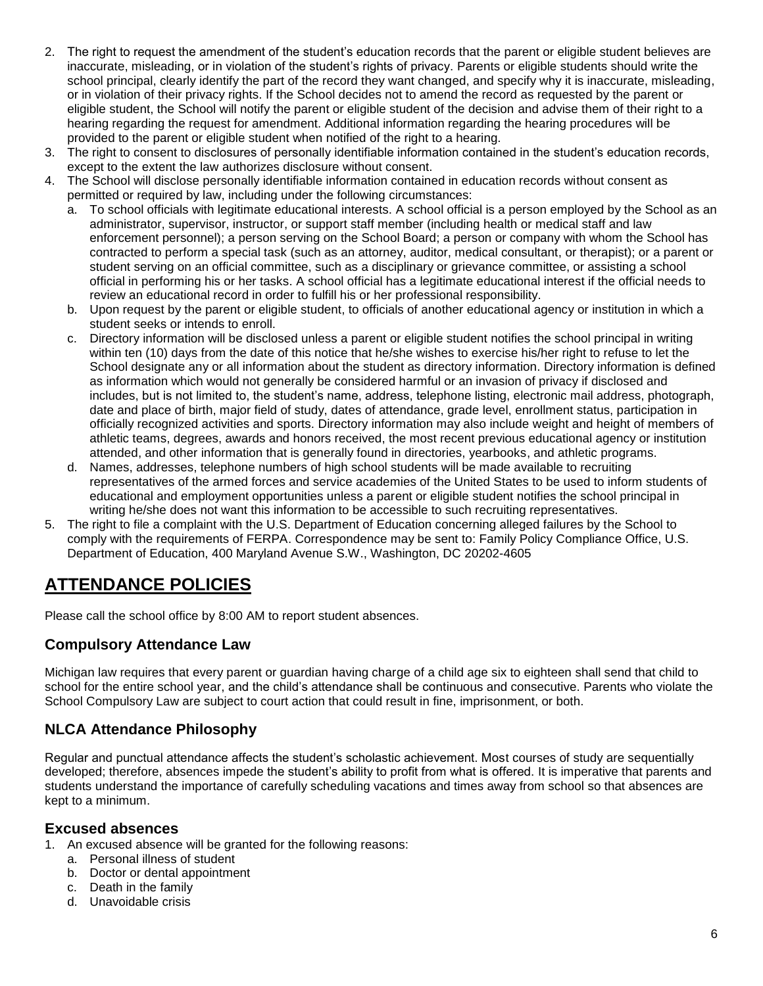- 2. The right to request the amendment of the student's education records that the parent or eligible student believes are inaccurate, misleading, or in violation of the student's rights of privacy. Parents or eligible students should write the school principal, clearly identify the part of the record they want changed, and specify why it is inaccurate, misleading, or in violation of their privacy rights. If the School decides not to amend the record as requested by the parent or eligible student, the School will notify the parent or eligible student of the decision and advise them of their right to a hearing regarding the request for amendment. Additional information regarding the hearing procedures will be provided to the parent or eligible student when notified of the right to a hearing.
- 3. The right to consent to disclosures of personally identifiable information contained in the student's education records, except to the extent the law authorizes disclosure without consent.
- 4. The School will disclose personally identifiable information contained in education records without consent as permitted or required by law, including under the following circumstances:
	- a. To school officials with legitimate educational interests. A school official is a person employed by the School as an administrator, supervisor, instructor, or support staff member (including health or medical staff and law enforcement personnel); a person serving on the School Board; a person or company with whom the School has contracted to perform a special task (such as an attorney, auditor, medical consultant, or therapist); or a parent or student serving on an official committee, such as a disciplinary or grievance committee, or assisting a school official in performing his or her tasks. A school official has a legitimate educational interest if the official needs to review an educational record in order to fulfill his or her professional responsibility.
	- b. Upon request by the parent or eligible student, to officials of another educational agency or institution in which a student seeks or intends to enroll.
	- c. Directory information will be disclosed unless a parent or eligible student notifies the school principal in writing within ten (10) days from the date of this notice that he/she wishes to exercise his/her right to refuse to let the School designate any or all information about the student as directory information. Directory information is defined as information which would not generally be considered harmful or an invasion of privacy if disclosed and includes, but is not limited to, the student's name, address, telephone listing, electronic mail address, photograph, date and place of birth, major field of study, dates of attendance, grade level, enrollment status, participation in officially recognized activities and sports. Directory information may also include weight and height of members of athletic teams, degrees, awards and honors received, the most recent previous educational agency or institution attended, and other information that is generally found in directories, yearbooks, and athletic programs.
	- d. Names, addresses, telephone numbers of high school students will be made available to recruiting representatives of the armed forces and service academies of the United States to be used to inform students of educational and employment opportunities unless a parent or eligible student notifies the school principal in writing he/she does not want this information to be accessible to such recruiting representatives.
- 5. The right to file a complaint with the U.S. Department of Education concerning alleged failures by the School to comply with the requirements of FERPA. Correspondence may be sent to: Family Policy Compliance Office, U.S. Department of Education, 400 Maryland Avenue S.W., Washington, DC 20202-4605

## <span id="page-5-0"></span>**ATTENDANCE POLICIES**

Please call the school office by 8:00 AM to report student absences.

#### **Compulsory Attendance Law**

Michigan law requires that every parent or guardian having charge of a child age six to eighteen shall send that child to school for the entire school year, and the child's attendance shall be continuous and consecutive. Parents who violate the School Compulsory Law are subject to court action that could result in fine, imprisonment, or both.

### **NLCA Attendance Philosophy**

Regular and punctual attendance affects the student's scholastic achievement. Most courses of study are sequentially developed; therefore, absences impede the student's ability to profit from what is offered. It is imperative that parents and students understand the importance of carefully scheduling vacations and times away from school so that absences are kept to a minimum.

#### **Excused absences**

- 1. An excused absence will be granted for the following reasons:
	- a. Personal illness of student
	- b. Doctor or dental appointment
	- c. Death in the family
	- d. Unavoidable crisis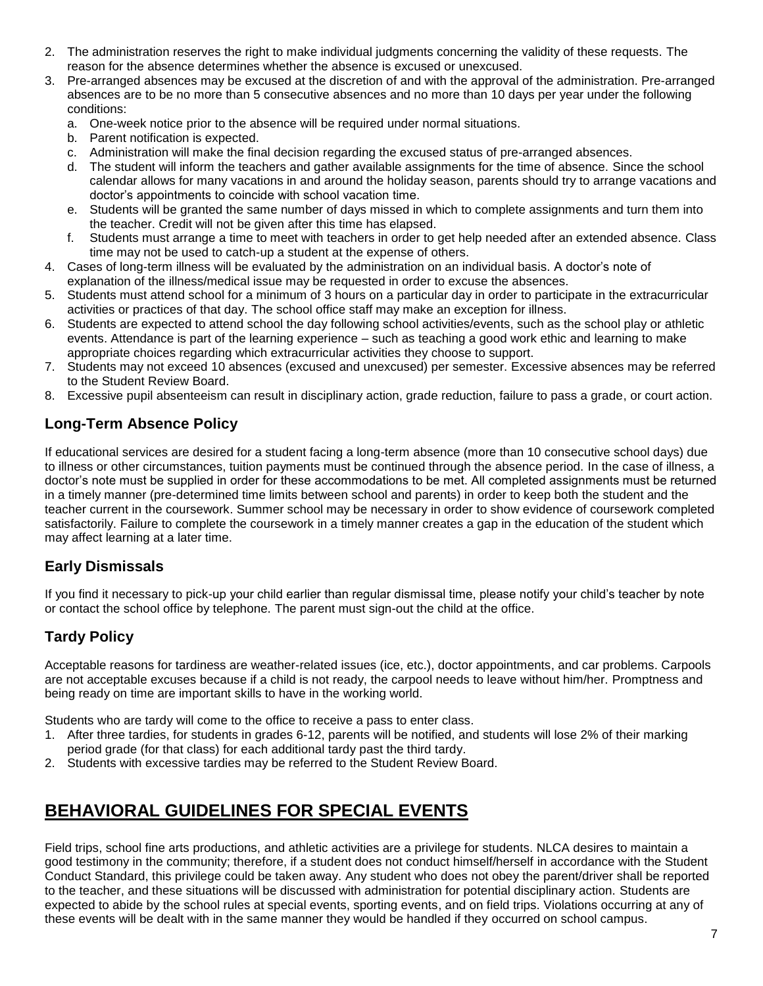- 2. The administration reserves the right to make individual judgments concerning the validity of these requests. The reason for the absence determines whether the absence is excused or unexcused.
- 3. Pre-arranged absences may be excused at the discretion of and with the approval of the administration. Pre-arranged absences are to be no more than 5 consecutive absences and no more than 10 days per year under the following conditions:
	- a. One-week notice prior to the absence will be required under normal situations.
	- b. Parent notification is expected.
	- c. Administration will make the final decision regarding the excused status of pre-arranged absences.
	- d. The student will inform the teachers and gather available assignments for the time of absence. Since the school calendar allows for many vacations in and around the holiday season, parents should try to arrange vacations and doctor's appointments to coincide with school vacation time.
	- e. Students will be granted the same number of days missed in which to complete assignments and turn them into the teacher. Credit will not be given after this time has elapsed.
	- f. Students must arrange a time to meet with teachers in order to get help needed after an extended absence. Class time may not be used to catch-up a student at the expense of others.
- 4. Cases of long-term illness will be evaluated by the administration on an individual basis. A doctor's note of explanation of the illness/medical issue may be requested in order to excuse the absences.
- 5. Students must attend school for a minimum of 3 hours on a particular day in order to participate in the extracurricular activities or practices of that day. The school office staff may make an exception for illness.
- 6. Students are expected to attend school the day following school activities/events, such as the school play or athletic events. Attendance is part of the learning experience – such as teaching a good work ethic and learning to make appropriate choices regarding which extracurricular activities they choose to support.
- 7. Students may not exceed 10 absences (excused and unexcused) per semester. Excessive absences may be referred to the Student Review Board.
- 8. Excessive pupil absenteeism can result in disciplinary action, grade reduction, failure to pass a grade, or court action.

### **Long-Term Absence Policy**

If educational services are desired for a student facing a long-term absence (more than 10 consecutive school days) due to illness or other circumstances, tuition payments must be continued through the absence period. In the case of illness, a doctor's note must be supplied in order for these accommodations to be met. All completed assignments must be returned in a timely manner (pre-determined time limits between school and parents) in order to keep both the student and the teacher current in the coursework. Summer school may be necessary in order to show evidence of coursework completed satisfactorily. Failure to complete the coursework in a timely manner creates a gap in the education of the student which may affect learning at a later time.

### **Early Dismissals**

If you find it necessary to pick-up your child earlier than regular dismissal time, please notify your child's teacher by note or contact the school office by telephone. The parent must sign-out the child at the office.

### **Tardy Policy**

Acceptable reasons for tardiness are weather-related issues (ice, etc.), doctor appointments, and car problems. Carpools are not acceptable excuses because if a child is not ready, the carpool needs to leave without him/her. Promptness and being ready on time are important skills to have in the working world.

Students who are tardy will come to the office to receive a pass to enter class.

- 1. After three tardies, for students in grades 6-12, parents will be notified, and students will lose 2% of their marking period grade (for that class) for each additional tardy past the third tardy.
- <span id="page-6-0"></span>2. Students with excessive tardies may be referred to the Student Review Board.

### **BEHAVIORAL GUIDELINES FOR SPECIAL EVENTS**

Field trips, school fine arts productions, and athletic activities are a privilege for students. NLCA desires to maintain a good testimony in the community; therefore, if a student does not conduct himself/herself in accordance with the Student Conduct Standard, this privilege could be taken away. Any student who does not obey the parent/driver shall be reported to the teacher, and these situations will be discussed with administration for potential disciplinary action. Students are expected to abide by the school rules at special events, sporting events, and on field trips. Violations occurring at any of these events will be dealt with in the same manner they would be handled if they occurred on school campus.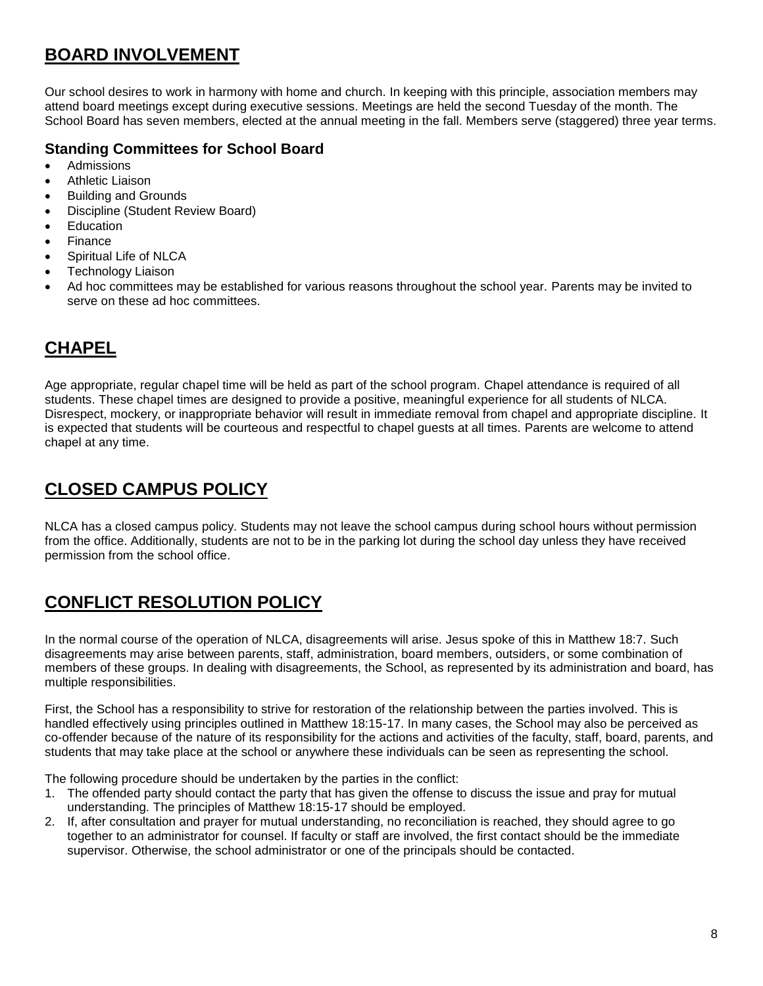## <span id="page-7-0"></span>**BOARD INVOLVEMENT**

Our school desires to work in harmony with home and church. In keeping with this principle, association members may attend board meetings except during executive sessions. Meetings are held the second Tuesday of the month. The School Board has seven members, elected at the annual meeting in the fall. Members serve (staggered) three year terms.

#### **Standing Committees for School Board**

- Admissions
- Athletic Liaison
- Building and Grounds
- Discipline (Student Review Board)
- Education
- Finance
- Spiritual Life of NLCA
- Technology Liaison
- <span id="page-7-1"></span> Ad hoc committees may be established for various reasons throughout the school year. Parents may be invited to serve on these ad hoc committees.

## **CHAPEL**

Age appropriate, regular chapel time will be held as part of the school program. Chapel attendance is required of all students. These chapel times are designed to provide a positive, meaningful experience for all students of NLCA. Disrespect, mockery, or inappropriate behavior will result in immediate removal from chapel and appropriate discipline. It is expected that students will be courteous and respectful to chapel guests at all times. Parents are welcome to attend chapel at any time.

## <span id="page-7-2"></span>**CLOSED CAMPUS POLICY**

NLCA has a closed campus policy. Students may not leave the school campus during school hours without permission from the office. Additionally, students are not to be in the parking lot during the school day unless they have received permission from the school office.

## <span id="page-7-3"></span>**CONFLICT RESOLUTION POLICY**

In the normal course of the operation of NLCA, disagreements will arise. Jesus spoke of this in Matthew 18:7. Such disagreements may arise between parents, staff, administration, board members, outsiders, or some combination of members of these groups. In dealing with disagreements, the School, as represented by its administration and board, has multiple responsibilities.

First, the School has a responsibility to strive for restoration of the relationship between the parties involved. This is handled effectively using principles outlined in Matthew 18:15-17. In many cases, the School may also be perceived as co-offender because of the nature of its responsibility for the actions and activities of the faculty, staff, board, parents, and students that may take place at the school or anywhere these individuals can be seen as representing the school.

The following procedure should be undertaken by the parties in the conflict:

- 1. The offended party should contact the party that has given the offense to discuss the issue and pray for mutual understanding. The principles of Matthew 18:15-17 should be employed.
- 2. If, after consultation and prayer for mutual understanding, no reconciliation is reached, they should agree to go together to an administrator for counsel. If faculty or staff are involved, the first contact should be the immediate supervisor. Otherwise, the school administrator or one of the principals should be contacted.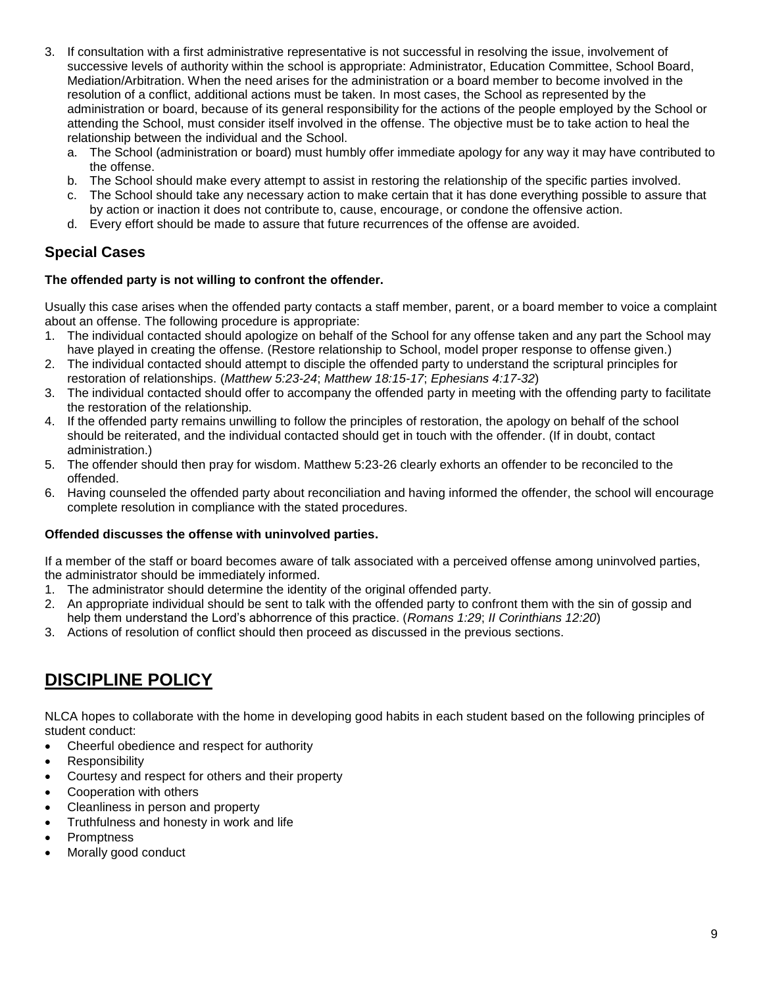- 3. If consultation with a first administrative representative is not successful in resolving the issue, involvement of successive levels of authority within the school is appropriate: Administrator, Education Committee, School Board, Mediation/Arbitration. When the need arises for the administration or a board member to become involved in the resolution of a conflict, additional actions must be taken. In most cases, the School as represented by the administration or board, because of its general responsibility for the actions of the people employed by the School or attending the School, must consider itself involved in the offense. The objective must be to take action to heal the relationship between the individual and the School.
	- a. The School (administration or board) must humbly offer immediate apology for any way it may have contributed to the offense.
	- b. The School should make every attempt to assist in restoring the relationship of the specific parties involved.
	- c. The School should take any necessary action to make certain that it has done everything possible to assure that by action or inaction it does not contribute to, cause, encourage, or condone the offensive action.
	- d. Every effort should be made to assure that future recurrences of the offense are avoided.

#### **Special Cases**

#### **The offended party is not willing to confront the offender.**

Usually this case arises when the offended party contacts a staff member, parent, or a board member to voice a complaint about an offense. The following procedure is appropriate:

- 1. The individual contacted should apologize on behalf of the School for any offense taken and any part the School may have played in creating the offense. (Restore relationship to School, model proper response to offense given.)
- 2. The individual contacted should attempt to disciple the offended party to understand the scriptural principles for restoration of relationships. (*Matthew 5:23-24*; *Matthew 18:15-17*; *Ephesians 4:17-32*)
- 3. The individual contacted should offer to accompany the offended party in meeting with the offending party to facilitate the restoration of the relationship.
- 4. If the offended party remains unwilling to follow the principles of restoration, the apology on behalf of the school should be reiterated, and the individual contacted should get in touch with the offender. (If in doubt, contact administration.)
- 5. The offender should then pray for wisdom. Matthew 5:23-26 clearly exhorts an offender to be reconciled to the offended.
- 6. Having counseled the offended party about reconciliation and having informed the offender, the school will encourage complete resolution in compliance with the stated procedures.

#### **Offended discusses the offense with uninvolved parties.**

If a member of the staff or board becomes aware of talk associated with a perceived offense among uninvolved parties, the administrator should be immediately informed.

- 1. The administrator should determine the identity of the original offended party.
- 2. An appropriate individual should be sent to talk with the offended party to confront them with the sin of gossip and help them understand the Lord's abhorrence of this practice. (*Romans 1:29*; *II Corinthians 12:20*)
- <span id="page-8-0"></span>3. Actions of resolution of conflict should then proceed as discussed in the previous sections.

### **DISCIPLINE POLICY**

NLCA hopes to collaborate with the home in developing good habits in each student based on the following principles of student conduct:

- Cheerful obedience and respect for authority
- Responsibility
- Courtesy and respect for others and their property
- Cooperation with others
- Cleanliness in person and property
- Truthfulness and honesty in work and life
- **Promptness**
- Morally good conduct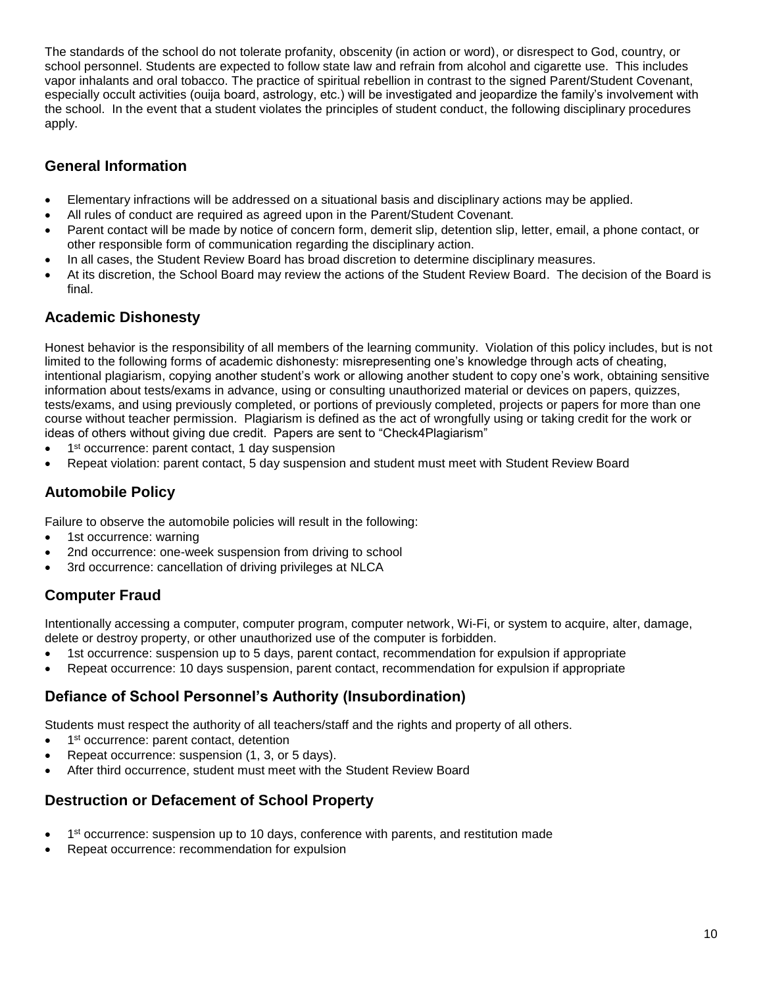The standards of the school do not tolerate profanity, obscenity (in action or word), or disrespect to God, country, or school personnel. Students are expected to follow state law and refrain from alcohol and cigarette use. This includes vapor inhalants and oral tobacco. The practice of spiritual rebellion in contrast to the signed Parent/Student Covenant, especially occult activities (ouija board, astrology, etc.) will be investigated and jeopardize the family's involvement with the school. In the event that a student violates the principles of student conduct, the following disciplinary procedures apply.

### **General Information**

- Elementary infractions will be addressed on a situational basis and disciplinary actions may be applied.
- All rules of conduct are required as agreed upon in the Parent/Student Covenant.
- Parent contact will be made by notice of concern form, demerit slip, detention slip, letter, email, a phone contact, or other responsible form of communication regarding the disciplinary action.
- In all cases, the Student Review Board has broad discretion to determine disciplinary measures.
- At its discretion, the School Board may review the actions of the Student Review Board. The decision of the Board is final.

#### **Academic Dishonesty**

Honest behavior is the responsibility of all members of the learning community. Violation of this policy includes, but is not limited to the following forms of academic dishonesty: misrepresenting one's knowledge through acts of cheating, intentional plagiarism, copying another student's work or allowing another student to copy one's work, obtaining sensitive information about tests/exams in advance, using or consulting unauthorized material or devices on papers, quizzes, tests/exams, and using previously completed, or portions of previously completed, projects or papers for more than one course without teacher permission. Plagiarism is defined as the act of wrongfully using or taking credit for the work or ideas of others without giving due credit. Papers are sent to "Check4Plagiarism"

- 1<sup>st</sup> occurrence: parent contact, 1 day suspension
- Repeat violation: parent contact, 5 day suspension and student must meet with Student Review Board

### **Automobile Policy**

Failure to observe the automobile policies will result in the following:

- 1st occurrence: warning
- 2nd occurrence: one-week suspension from driving to school
- 3rd occurrence: cancellation of driving privileges at NLCA

### **Computer Fraud**

Intentionally accessing a computer, computer program, computer network, Wi-Fi, or system to acquire, alter, damage, delete or destroy property, or other unauthorized use of the computer is forbidden.

- 1st occurrence: suspension up to 5 days, parent contact, recommendation for expulsion if appropriate
- Repeat occurrence: 10 days suspension, parent contact, recommendation for expulsion if appropriate

#### **Defiance of School Personnel's Authority (Insubordination)**

Students must respect the authority of all teachers/staff and the rights and property of all others.

- 1<sup>st</sup> occurrence: parent contact, detention
- Repeat occurrence: suspension (1, 3, or 5 days).
- After third occurrence, student must meet with the Student Review Board

#### **Destruction or Defacement of School Property**

- 1<sup>st</sup> occurrence: suspension up to 10 days, conference with parents, and restitution made
- Repeat occurrence: recommendation for expulsion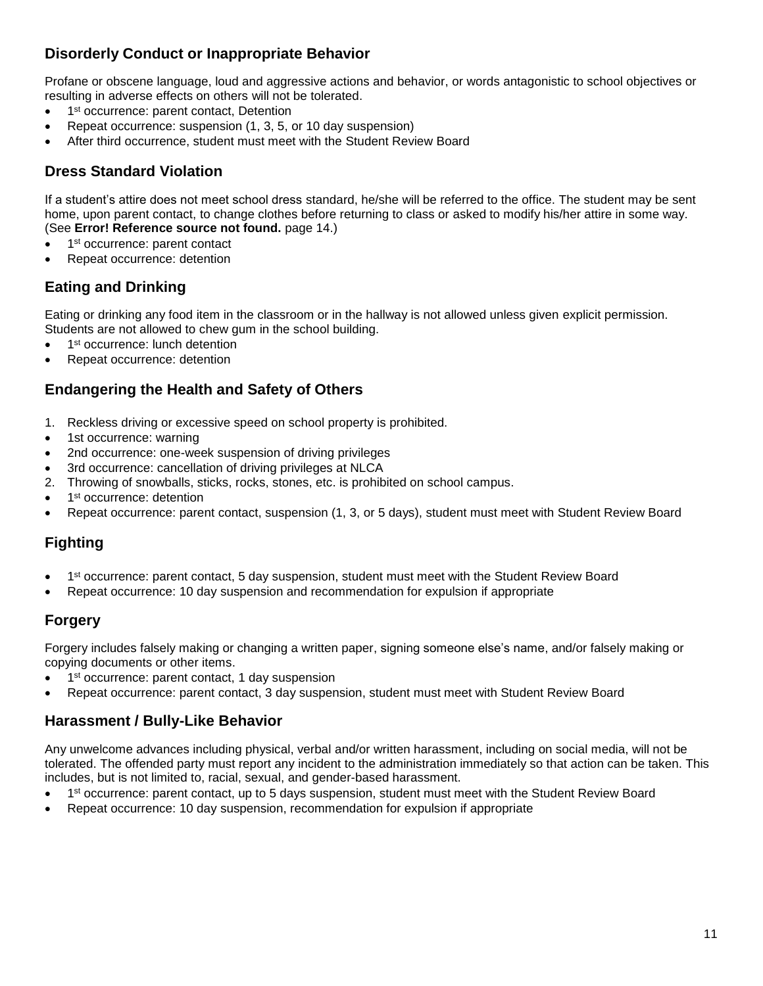### **Disorderly Conduct or Inappropriate Behavior**

Profane or obscene language, loud and aggressive actions and behavior, or words antagonistic to school objectives or resulting in adverse effects on others will not be tolerated.

- 1<sup>st</sup> occurrence: parent contact, Detention
- Repeat occurrence: suspension (1, 3, 5, or 10 day suspension)
- After third occurrence, student must meet with the Student Review Board

### **Dress Standard Violation**

If a student's attire does not meet school dress standard, he/she will be referred to the office. The student may be sent home, upon parent contact, to change clothes before returning to class or asked to modify his/her attire in some way. (See **Error! Reference source not found.** page 14.)

- 1<sup>st</sup> occurrence: parent contact
- Repeat occurrence: detention

### **Eating and Drinking**

Eating or drinking any food item in the classroom or in the hallway is not allowed unless given explicit permission. Students are not allowed to chew gum in the school building.

- 1<sup>st</sup> occurrence: lunch detention
- Repeat occurrence: detention

#### **Endangering the Health and Safety of Others**

- 1. Reckless driving or excessive speed on school property is prohibited.
- 1st occurrence: warning
- 2nd occurrence: one-week suspension of driving privileges
- 3rd occurrence: cancellation of driving privileges at NLCA
- 2. Throwing of snowballs, sticks, rocks, stones, etc. is prohibited on school campus.
- 1<sup>st</sup> occurrence: detention
- Repeat occurrence: parent contact, suspension (1, 3, or 5 days), student must meet with Student Review Board

### **Fighting**

- 1<sup>st</sup> occurrence: parent contact, 5 day suspension, student must meet with the Student Review Board
- Repeat occurrence: 10 day suspension and recommendation for expulsion if appropriate

### **Forgery**

Forgery includes falsely making or changing a written paper, signing someone else's name, and/or falsely making or copying documents or other items.

- 1<sup>st</sup> occurrence: parent contact, 1 day suspension
- Repeat occurrence: parent contact, 3 day suspension, student must meet with Student Review Board

#### **Harassment / Bully-Like Behavior**

Any unwelcome advances including physical, verbal and/or written harassment, including on social media, will not be tolerated. The offended party must report any incident to the administration immediately so that action can be taken. This includes, but is not limited to, racial, sexual, and gender-based harassment.

- 1<sup>st</sup> occurrence: parent contact, up to 5 days suspension, student must meet with the Student Review Board
- Repeat occurrence: 10 day suspension, recommendation for expulsion if appropriate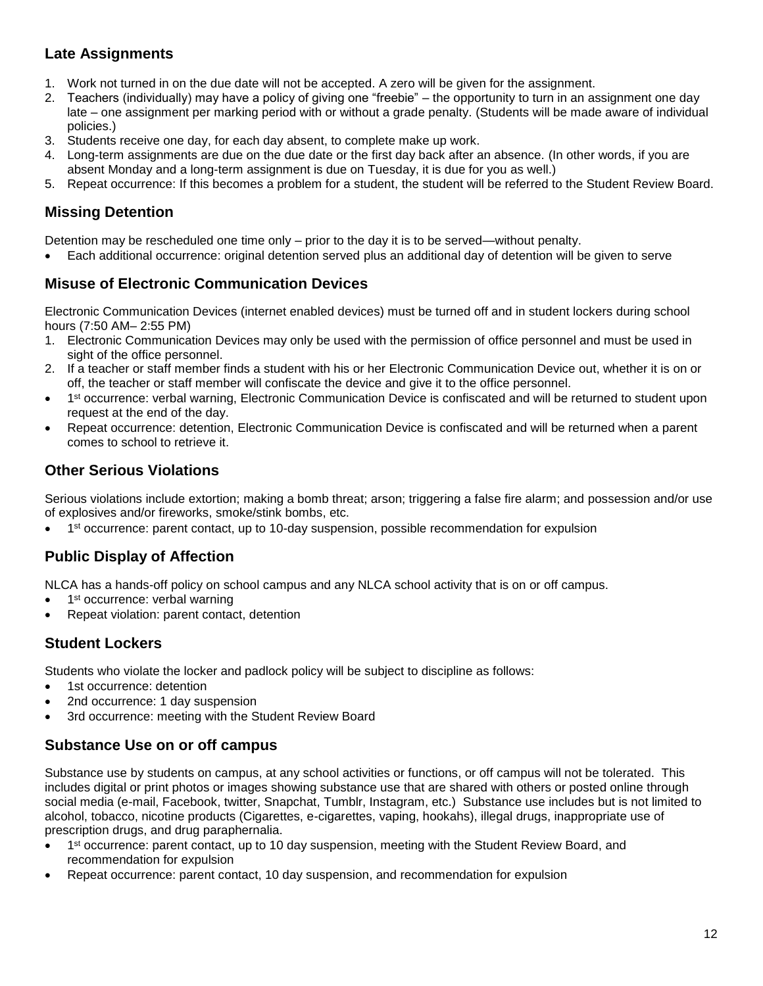### **Late Assignments**

- 1. Work not turned in on the due date will not be accepted. A zero will be given for the assignment.
- 2. Teachers (individually) may have a policy of giving one "freebie" the opportunity to turn in an assignment one day late – one assignment per marking period with or without a grade penalty. (Students will be made aware of individual policies.)
- 3. Students receive one day, for each day absent, to complete make up work.
- 4. Long-term assignments are due on the due date or the first day back after an absence. (In other words, if you are absent Monday and a long-term assignment is due on Tuesday, it is due for you as well.)
- 5. Repeat occurrence: If this becomes a problem for a student, the student will be referred to the Student Review Board.

### **Missing Detention**

Detention may be rescheduled one time only – prior to the day it is to be served—without penalty.

Each additional occurrence: original detention served plus an additional day of detention will be given to serve

#### **Misuse of Electronic Communication Devices**

Electronic Communication Devices (internet enabled devices) must be turned off and in student lockers during school hours (7:50 AM– 2:55 PM)

- 1. Electronic Communication Devices may only be used with the permission of office personnel and must be used in sight of the office personnel.
- 2. If a teacher or staff member finds a student with his or her Electronic Communication Device out, whether it is on or off, the teacher or staff member will confiscate the device and give it to the office personnel.
- 1<sup>st</sup> occurrence: verbal warning, Electronic Communication Device is confiscated and will be returned to student upon request at the end of the day.
- Repeat occurrence: detention, Electronic Communication Device is confiscated and will be returned when a parent comes to school to retrieve it.

#### **Other Serious Violations**

Serious violations include extortion; making a bomb threat; arson; triggering a false fire alarm; and possession and/or use of explosives and/or fireworks, smoke/stink bombs, etc.

• 1<sup>st</sup> occurrence: parent contact, up to 10-day suspension, possible recommendation for expulsion

#### **Public Display of Affection**

NLCA has a hands-off policy on school campus and any NLCA school activity that is on or off campus.

- 1<sup>st</sup> occurrence: verbal warning
- Repeat violation: parent contact, detention

#### **Student Lockers**

Students who violate the locker and padlock policy will be subject to discipline as follows:

- 1st occurrence: detention
- 2nd occurrence: 1 day suspension
- 3rd occurrence: meeting with the Student Review Board

#### **Substance Use on or off campus**

Substance use by students on campus, at any school activities or functions, or off campus will not be tolerated. This includes digital or print photos or images showing substance use that are shared with others or posted online through social media (e-mail, Facebook, twitter, Snapchat, Tumblr, Instagram, etc.) Substance use includes but is not limited to alcohol, tobacco, nicotine products (Cigarettes, e-cigarettes, vaping, hookahs), illegal drugs, inappropriate use of prescription drugs, and drug paraphernalia.

- 1<sup>st</sup> occurrence: parent contact, up to 10 day suspension, meeting with the Student Review Board, and recommendation for expulsion
- Repeat occurrence: parent contact, 10 day suspension, and recommendation for expulsion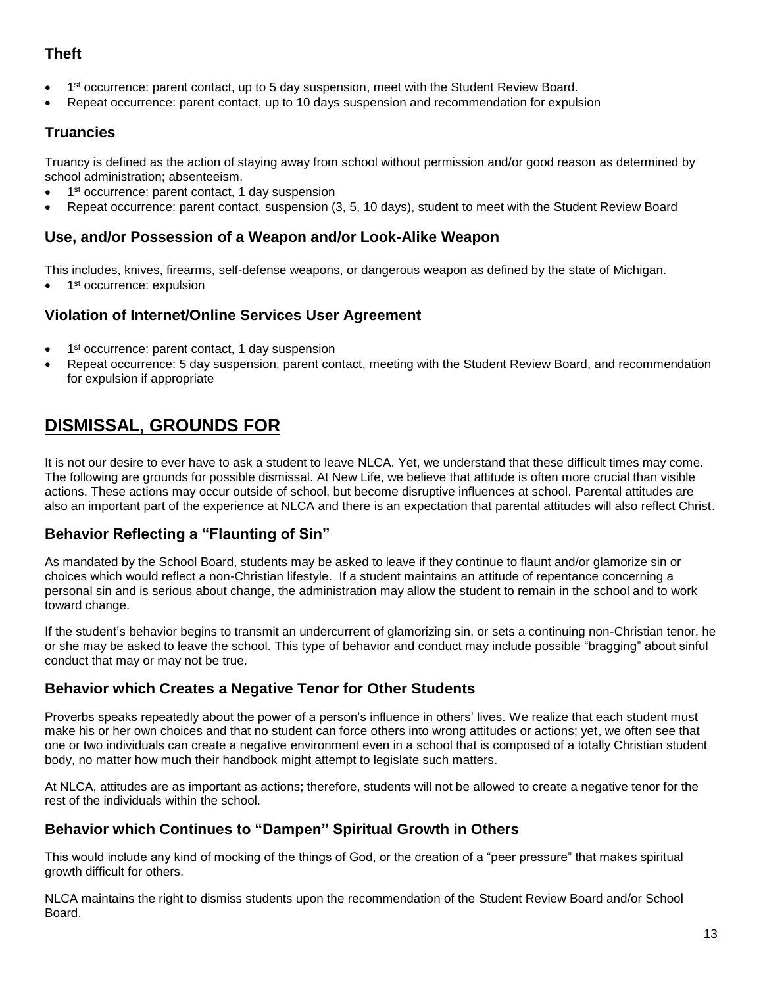### **Theft**

- 1<sup>st</sup> occurrence: parent contact, up to 5 day suspension, meet with the Student Review Board.
- Repeat occurrence: parent contact, up to 10 days suspension and recommendation for expulsion

#### **Truancies**

Truancy is defined as the action of staying away from school without permission and/or good reason as determined by school administration; absenteeism.

- 1<sup>st</sup> occurrence: parent contact, 1 day suspension
- Repeat occurrence: parent contact, suspension (3, 5, 10 days), student to meet with the Student Review Board

#### **Use, and/or Possession of a Weapon and/or Look-Alike Weapon**

This includes, knives, firearms, self-defense weapons, or dangerous weapon as defined by the state of Michigan.

• 1<sup>st</sup> occurrence: expulsion

#### **Violation of Internet/Online Services User Agreement**

- 1<sup>st</sup> occurrence: parent contact, 1 day suspension
- <span id="page-12-0"></span> Repeat occurrence: 5 day suspension, parent contact, meeting with the Student Review Board, and recommendation for expulsion if appropriate

## **DISMISSAL, GROUNDS FOR**

It is not our desire to ever have to ask a student to leave NLCA. Yet, we understand that these difficult times may come. The following are grounds for possible dismissal. At New Life, we believe that attitude is often more crucial than visible actions. These actions may occur outside of school, but become disruptive influences at school. Parental attitudes are also an important part of the experience at NLCA and there is an expectation that parental attitudes will also reflect Christ.

#### **Behavior Reflecting a "Flaunting of Sin"**

As mandated by the School Board, students may be asked to leave if they continue to flaunt and/or glamorize sin or choices which would reflect a non-Christian lifestyle. If a student maintains an attitude of repentance concerning a personal sin and is serious about change, the administration may allow the student to remain in the school and to work toward change.

If the student's behavior begins to transmit an undercurrent of glamorizing sin, or sets a continuing non-Christian tenor, he or she may be asked to leave the school. This type of behavior and conduct may include possible "bragging" about sinful conduct that may or may not be true.

#### **Behavior which Creates a Negative Tenor for Other Students**

Proverbs speaks repeatedly about the power of a person's influence in others' lives. We realize that each student must make his or her own choices and that no student can force others into wrong attitudes or actions; yet, we often see that one or two individuals can create a negative environment even in a school that is composed of a totally Christian student body, no matter how much their handbook might attempt to legislate such matters.

At NLCA, attitudes are as important as actions; therefore, students will not be allowed to create a negative tenor for the rest of the individuals within the school.

#### **Behavior which Continues to "Dampen" Spiritual Growth in Others**

This would include any kind of mocking of the things of God, or the creation of a "peer pressure" that makes spiritual growth difficult for others.

NLCA maintains the right to dismiss students upon the recommendation of the Student Review Board and/or School Board.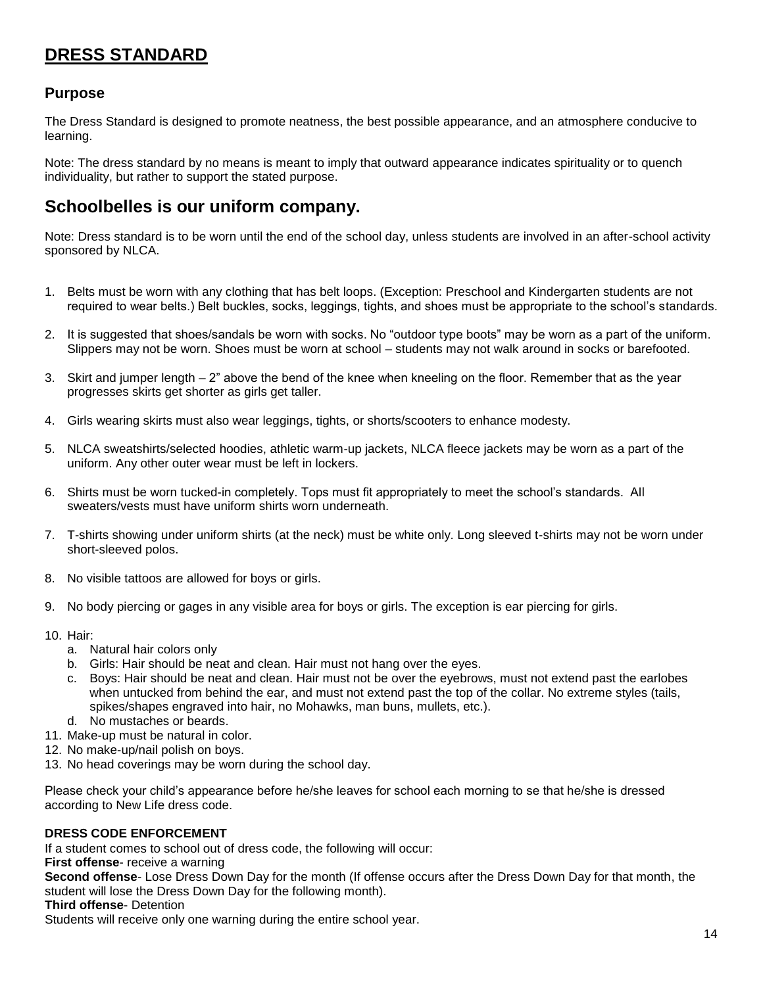## **DRESS STANDARD**

#### **Purpose**

The Dress Standard is designed to promote neatness, the best possible appearance, and an atmosphere conducive to learning.

Note: The dress standard by no means is meant to imply that outward appearance indicates spirituality or to quench individuality, but rather to support the stated purpose.

### **Schoolbelles is our uniform company.**

Note: Dress standard is to be worn until the end of the school day, unless students are involved in an after-school activity sponsored by NLCA.

- 1. Belts must be worn with any clothing that has belt loops. (Exception: Preschool and Kindergarten students are not required to wear belts.) Belt buckles, socks, leggings, tights, and shoes must be appropriate to the school's standards.
- 2. It is suggested that shoes/sandals be worn with socks. No "outdoor type boots" may be worn as a part of the uniform. Slippers may not be worn. Shoes must be worn at school – students may not walk around in socks or barefooted.
- 3. Skirt and jumper length 2" above the bend of the knee when kneeling on the floor. Remember that as the year progresses skirts get shorter as girls get taller.
- 4. Girls wearing skirts must also wear leggings, tights, or shorts/scooters to enhance modesty.
- 5. NLCA sweatshirts/selected hoodies, athletic warm-up jackets, NLCA fleece jackets may be worn as a part of the uniform. Any other outer wear must be left in lockers.
- 6. Shirts must be worn tucked-in completely. Tops must fit appropriately to meet the school's standards. All sweaters/vests must have uniform shirts worn underneath.
- 7. T-shirts showing under uniform shirts (at the neck) must be white only. Long sleeved t-shirts may not be worn under short-sleeved polos.
- 8. No visible tattoos are allowed for boys or girls.
- 9. No body piercing or gages in any visible area for boys or girls. The exception is ear piercing for girls.
- 10. Hair:
	- a. Natural hair colors only
	- b. Girls: Hair should be neat and clean. Hair must not hang over the eyes.
	- c. Boys: Hair should be neat and clean. Hair must not be over the eyebrows, must not extend past the earlobes when untucked from behind the ear, and must not extend past the top of the collar. No extreme styles (tails, spikes/shapes engraved into hair, no Mohawks, man buns, mullets, etc.).
	- d. No mustaches or beards.
- 11. Make-up must be natural in color.
- 12. No make-up/nail polish on boys.
- 13. No head coverings may be worn during the school day.

Please check your child's appearance before he/she leaves for school each morning to se that he/she is dressed according to New Life dress code.

#### **DRESS CODE ENFORCEMENT**

If a student comes to school out of dress code, the following will occur:

**First offense**- receive a warning

**Second offense**- Lose Dress Down Day for the month (If offense occurs after the Dress Down Day for that month, the student will lose the Dress Down Day for the following month).

**Third offense**- Detention

Students will receive only one warning during the entire school year.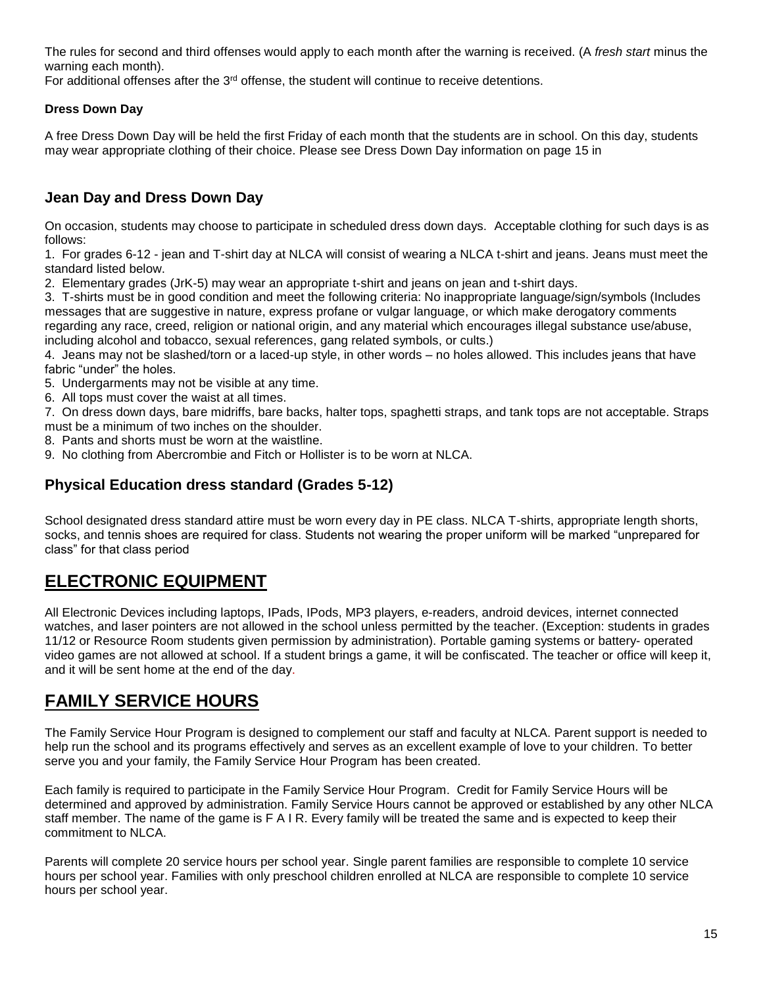The rules for second and third offenses would apply to each month after the warning is received. (A *fresh start* minus the warning each month).

For additional offenses after the  $3<sup>rd</sup>$  offense, the student will continue to receive detentions.

#### **Dress Down Day**

A free Dress Down Day will be held the first Friday of each month that the students are in school. On this day, students may wear appropriate clothing of their choice. Please see Dress Down Day information on page 15 in

#### **Jean Day and Dress Down Day**

On occasion, students may choose to participate in scheduled dress down days. Acceptable clothing for such days is as follows:

1. For grades 6-12 - jean and T-shirt day at NLCA will consist of wearing a NLCA t-shirt and jeans. Jeans must meet the standard listed below.

2. Elementary grades (JrK-5) may wear an appropriate t-shirt and jeans on jean and t-shirt days.

3. T-shirts must be in good condition and meet the following criteria: No inappropriate language/sign/symbols (Includes messages that are suggestive in nature, express profane or vulgar language, or which make derogatory comments regarding any race, creed, religion or national origin, and any material which encourages illegal substance use/abuse, including alcohol and tobacco, sexual references, gang related symbols, or cults.)

4. Jeans may not be slashed/torn or a laced-up style, in other words – no holes allowed. This includes jeans that have fabric "under" the holes.

- 5. Undergarments may not be visible at any time.
- 6. All tops must cover the waist at all times.

7. On dress down days, bare midriffs, bare backs, halter tops, spaghetti straps, and tank tops are not acceptable. Straps must be a minimum of two inches on the shoulder.

- 8. Pants and shorts must be worn at the waistline.
- 9. No clothing from Abercrombie and Fitch or Hollister is to be worn at NLCA.

#### **Physical Education dress standard (Grades 5-12)**

School designated dress standard attire must be worn every day in PE class. NLCA T-shirts, appropriate length shorts, socks, and tennis shoes are required for class. Students not wearing the proper uniform will be marked "unprepared for class" for that class period

## <span id="page-14-0"></span>**ELECTRONIC EQUIPMENT**

All Electronic Devices including laptops, IPads, IPods, MP3 players, e-readers, android devices, internet connected watches, and laser pointers are not allowed in the school unless permitted by the teacher. (Exception: students in grades 11/12 or Resource Room students given permission by administration). Portable gaming systems or battery- operated video games are not allowed at school. If a student brings a game, it will be confiscated. The teacher or office will keep it, and it will be sent home at the end of the day.

## <span id="page-14-1"></span>**FAMILY SERVICE HOURS**

The Family Service Hour Program is designed to complement our staff and faculty at NLCA. Parent support is needed to help run the school and its programs effectively and serves as an excellent example of love to your children. To better serve you and your family, the Family Service Hour Program has been created.

Each family is required to participate in the Family Service Hour Program. Credit for Family Service Hours will be determined and approved by administration. Family Service Hours cannot be approved or established by any other NLCA staff member. The name of the game is F A I R. Every family will be treated the same and is expected to keep their commitment to NLCA.

Parents will complete 20 service hours per school year. Single parent families are responsible to complete 10 service hours per school year. Families with only preschool children enrolled at NLCA are responsible to complete 10 service hours per school year.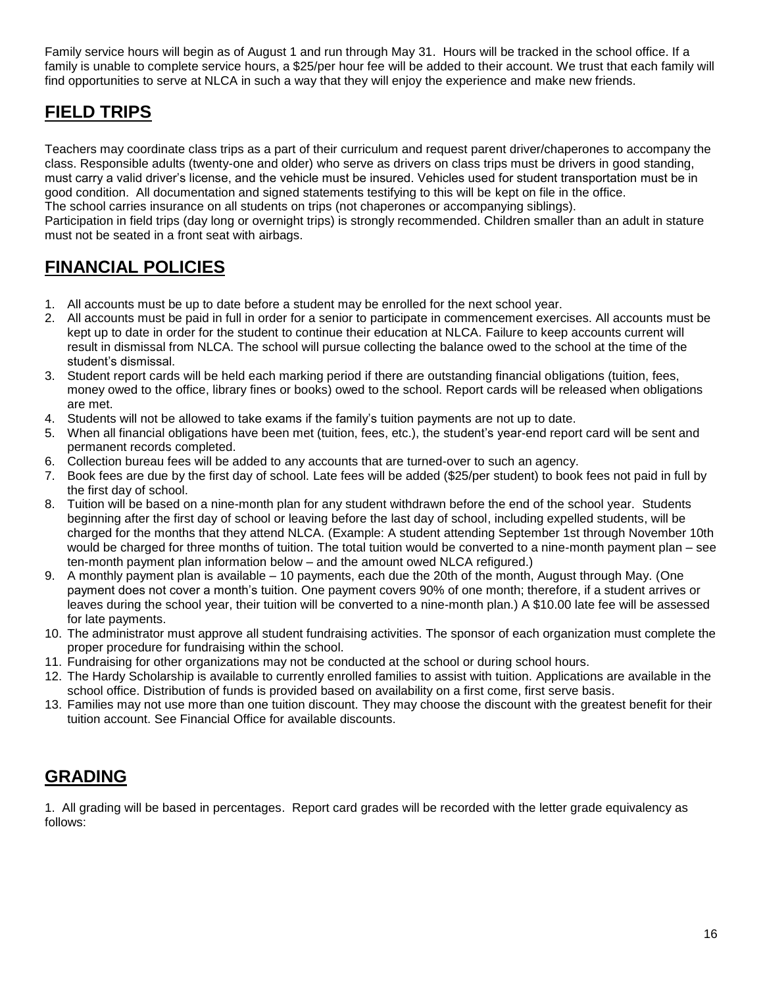Family service hours will begin as of August 1 and run through May 31. Hours will be tracked in the school office. If a family is unable to complete service hours, a \$25/per hour fee will be added to their account. We trust that each family will find opportunities to serve at NLCA in such a way that they will enjoy the experience and make new friends.

## <span id="page-15-0"></span>**FIELD TRIPS**

Teachers may coordinate class trips as a part of their curriculum and request parent driver/chaperones to accompany the class. Responsible adults (twenty-one and older) who serve as drivers on class trips must be drivers in good standing, must carry a valid driver's license, and the vehicle must be insured. Vehicles used for student transportation must be in good condition. All documentation and signed statements testifying to this will be kept on file in the office. The school carries insurance on all students on trips (not chaperones or accompanying siblings). Participation in field trips (day long or overnight trips) is strongly recommended. Children smaller than an adult in stature must not be seated in a front seat with airbags.

## <span id="page-15-1"></span>**FINANCIAL POLICIES**

- 1. All accounts must be up to date before a student may be enrolled for the next school year.
- 2. All accounts must be paid in full in order for a senior to participate in commencement exercises. All accounts must be kept up to date in order for the student to continue their education at NLCA. Failure to keep accounts current will result in dismissal from NLCA. The school will pursue collecting the balance owed to the school at the time of the student's dismissal.
- 3. Student report cards will be held each marking period if there are outstanding financial obligations (tuition, fees, money owed to the office, library fines or books) owed to the school. Report cards will be released when obligations are met.
- 4. Students will not be allowed to take exams if the family's tuition payments are not up to date.
- 5. When all financial obligations have been met (tuition, fees, etc.), the student's year-end report card will be sent and permanent records completed.
- 6. Collection bureau fees will be added to any accounts that are turned-over to such an agency.
- 7. Book fees are due by the first day of school. Late fees will be added (\$25/per student) to book fees not paid in full by the first day of school.
- 8. Tuition will be based on a nine-month plan for any student withdrawn before the end of the school year. Students beginning after the first day of school or leaving before the last day of school, including expelled students, will be charged for the months that they attend NLCA. (Example: A student attending September 1st through November 10th would be charged for three months of tuition. The total tuition would be converted to a nine-month payment plan – see ten-month payment plan information below – and the amount owed NLCA refigured.)
- 9. A monthly payment plan is available 10 payments, each due the 20th of the month, August through May. (One payment does not cover a month's tuition. One payment covers 90% of one month; therefore, if a student arrives or leaves during the school year, their tuition will be converted to a nine-month plan.) A \$10.00 late fee will be assessed for late payments.
- 10. The administrator must approve all student fundraising activities. The sponsor of each organization must complete the proper procedure for fundraising within the school.
- 11. Fundraising for other organizations may not be conducted at the school or during school hours.
- 12. The Hardy Scholarship is available to currently enrolled families to assist with tuition. Applications are available in the school office. Distribution of funds is provided based on availability on a first come, first serve basis.
- <span id="page-15-2"></span>13. Families may not use more than one tuition discount. They may choose the discount with the greatest benefit for their tuition account. See Financial Office for available discounts.

## **GRADING**

1. All grading will be based in percentages. Report card grades will be recorded with the letter grade equivalency as follows: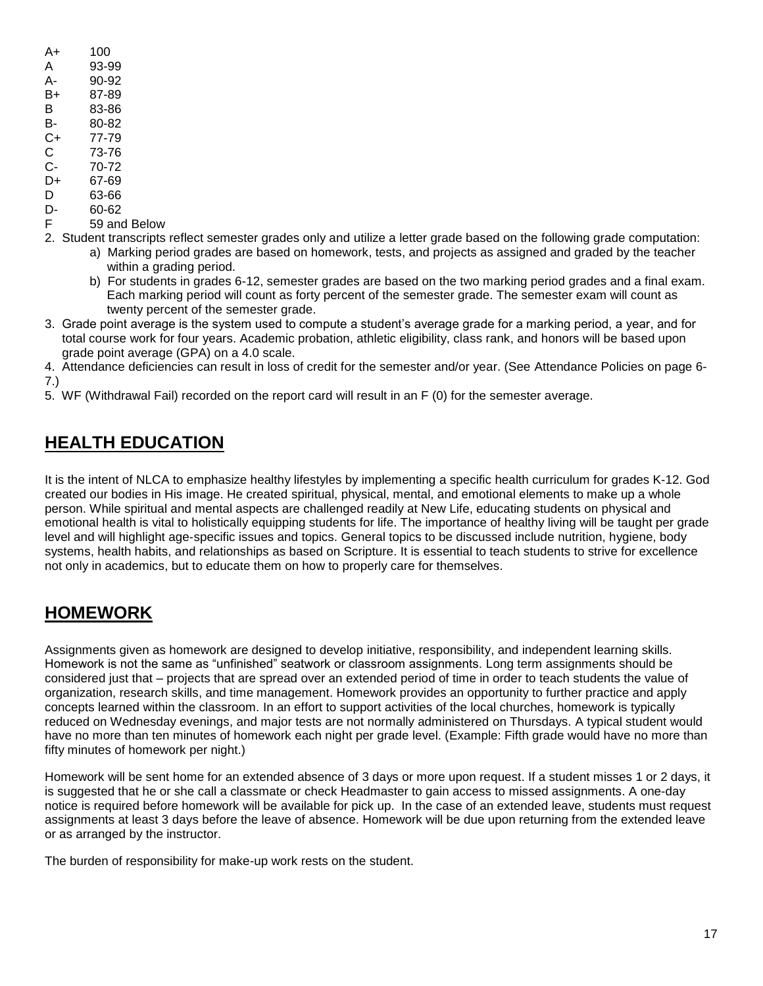| A+ | 100   |
|----|-------|
| А  | 93-99 |
| А- | 90-92 |
| B+ | 87-89 |

- B 83-86
- B- 80-82
- C+ 77-79
- C 73-76
- C- 70-72
- D+ 67-69
- D 63-66
- D- 60-62
- F 59 and Below
- 2. Student transcripts reflect semester grades only and utilize a letter grade based on the following grade computation: a) Marking period grades are based on homework, tests, and projects as assigned and graded by the teacher within a grading period.
	- b) For students in grades 6-12, semester grades are based on the two marking period grades and a final exam. Each marking period will count as forty percent of the semester grade. The semester exam will count as twenty percent of the semester grade.
- 3. Grade point average is the system used to compute a student's average grade for a marking period, a year, and for total course work for four years. Academic probation, athletic eligibility, class rank, and honors will be based upon grade point average (GPA) on a 4.0 scale.

4. Attendance deficiencies can result in loss of credit for the semester and/or year. (See Attendance Policies on page 6- 7.)

<span id="page-16-0"></span>5. WF (Withdrawal Fail) recorded on the report card will result in an F (0) for the semester average.

## **HEALTH EDUCATION**

It is the intent of NLCA to emphasize healthy lifestyles by implementing a specific health curriculum for grades K-12. God created our bodies in His image. He created spiritual, physical, mental, and emotional elements to make up a whole person. While spiritual and mental aspects are challenged readily at New Life, educating students on physical and emotional health is vital to holistically equipping students for life. The importance of healthy living will be taught per grade level and will highlight age-specific issues and topics. General topics to be discussed include nutrition, hygiene, body systems, health habits, and relationships as based on Scripture. It is essential to teach students to strive for excellence not only in academics, but to educate them on how to properly care for themselves.

## <span id="page-16-1"></span>**HOMEWORK**

Assignments given as homework are designed to develop initiative, responsibility, and independent learning skills. Homework is not the same as "unfinished" seatwork or classroom assignments. Long term assignments should be considered just that – projects that are spread over an extended period of time in order to teach students the value of organization, research skills, and time management. Homework provides an opportunity to further practice and apply concepts learned within the classroom. In an effort to support activities of the local churches, homework is typically reduced on Wednesday evenings, and major tests are not normally administered on Thursdays. A typical student would have no more than ten minutes of homework each night per grade level. (Example: Fifth grade would have no more than fifty minutes of homework per night.)

Homework will be sent home for an extended absence of 3 days or more upon request. If a student misses 1 or 2 days, it is suggested that he or she call a classmate or check Headmaster to gain access to missed assignments. A one-day notice is required before homework will be available for pick up. In the case of an extended leave, students must request assignments at least 3 days before the leave of absence. Homework will be due upon returning from the extended leave or as arranged by the instructor.

The burden of responsibility for make-up work rests on the student.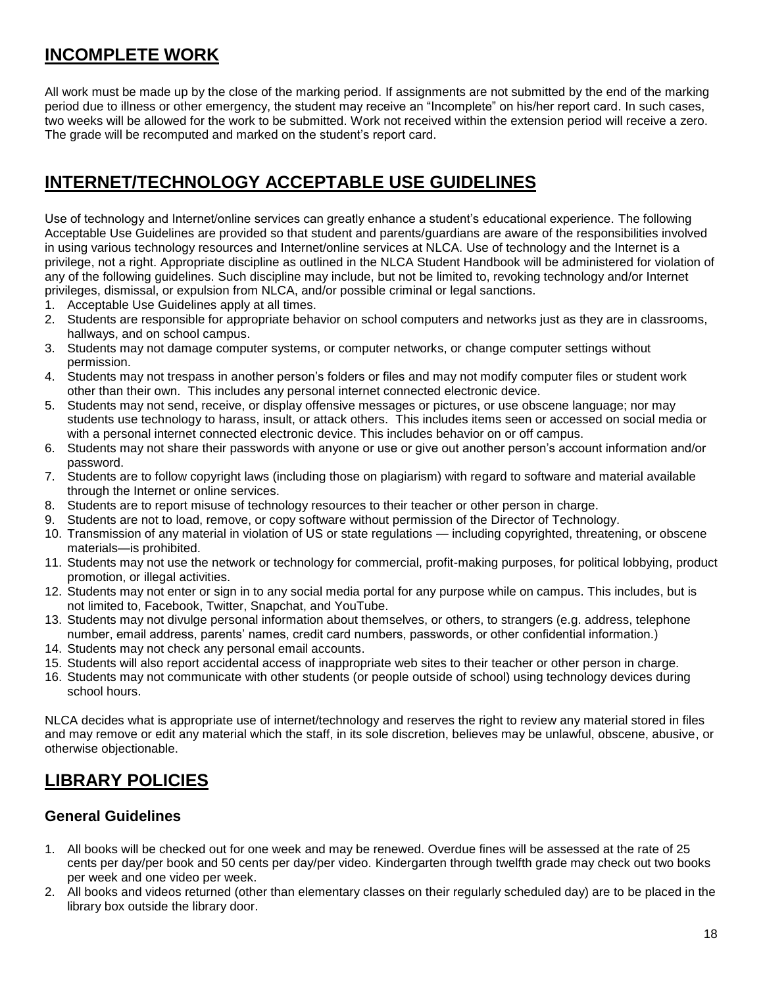## <span id="page-17-0"></span>**INCOMPLETE WORK**

All work must be made up by the close of the marking period. If assignments are not submitted by the end of the marking period due to illness or other emergency, the student may receive an "Incomplete" on his/her report card. In such cases, two weeks will be allowed for the work to be submitted. Work not received within the extension period will receive a zero. The grade will be recomputed and marked on the student's report card.

## <span id="page-17-1"></span>**INTERNET/TECHNOLOGY ACCEPTABLE USE GUIDELINES**

Use of technology and Internet/online services can greatly enhance a student's educational experience. The following Acceptable Use Guidelines are provided so that student and parents/guardians are aware of the responsibilities involved in using various technology resources and Internet/online services at NLCA. Use of technology and the Internet is a privilege, not a right. Appropriate discipline as outlined in the NLCA Student Handbook will be administered for violation of any of the following guidelines. Such discipline may include, but not be limited to, revoking technology and/or Internet privileges, dismissal, or expulsion from NLCA, and/or possible criminal or legal sanctions.

- 1. Acceptable Use Guidelines apply at all times.
- 2. Students are responsible for appropriate behavior on school computers and networks just as they are in classrooms, hallways, and on school campus.
- 3. Students may not damage computer systems, or computer networks, or change computer settings without permission.
- 4. Students may not trespass in another person's folders or files and may not modify computer files or student work other than their own. This includes any personal internet connected electronic device.
- 5. Students may not send, receive, or display offensive messages or pictures, or use obscene language; nor may students use technology to harass, insult, or attack others. This includes items seen or accessed on social media or with a personal internet connected electronic device. This includes behavior on or off campus.
- 6. Students may not share their passwords with anyone or use or give out another person's account information and/or password.
- 7. Students are to follow copyright laws (including those on plagiarism) with regard to software and material available through the Internet or online services.
- 8. Students are to report misuse of technology resources to their teacher or other person in charge.
- 9. Students are not to load, remove, or copy software without permission of the Director of Technology.
- 10. Transmission of any material in violation of US or state regulations including copyrighted, threatening, or obscene materials—is prohibited.
- 11. Students may not use the network or technology for commercial, profit-making purposes, for political lobbying, product promotion, or illegal activities.
- 12. Students may not enter or sign in to any social media portal for any purpose while on campus. This includes, but is not limited to, Facebook, Twitter, Snapchat, and YouTube.
- 13. Students may not divulge personal information about themselves, or others, to strangers (e.g. address, telephone number, email address, parents' names, credit card numbers, passwords, or other confidential information.)
- 14. Students may not check any personal email accounts.
- 15. Students will also report accidental access of inappropriate web sites to their teacher or other person in charge.
- 16. Students may not communicate with other students (or people outside of school) using technology devices during school hours.

NLCA decides what is appropriate use of internet/technology and reserves the right to review any material stored in files and may remove or edit any material which the staff, in its sole discretion, believes may be unlawful, obscene, abusive, or otherwise objectionable.

## <span id="page-17-2"></span>**LIBRARY POLICIES**

### **General Guidelines**

- 1. All books will be checked out for one week and may be renewed. Overdue fines will be assessed at the rate of 25 cents per day/per book and 50 cents per day/per video. Kindergarten through twelfth grade may check out two books per week and one video per week.
- 2. All books and videos returned (other than elementary classes on their regularly scheduled day) are to be placed in the library box outside the library door.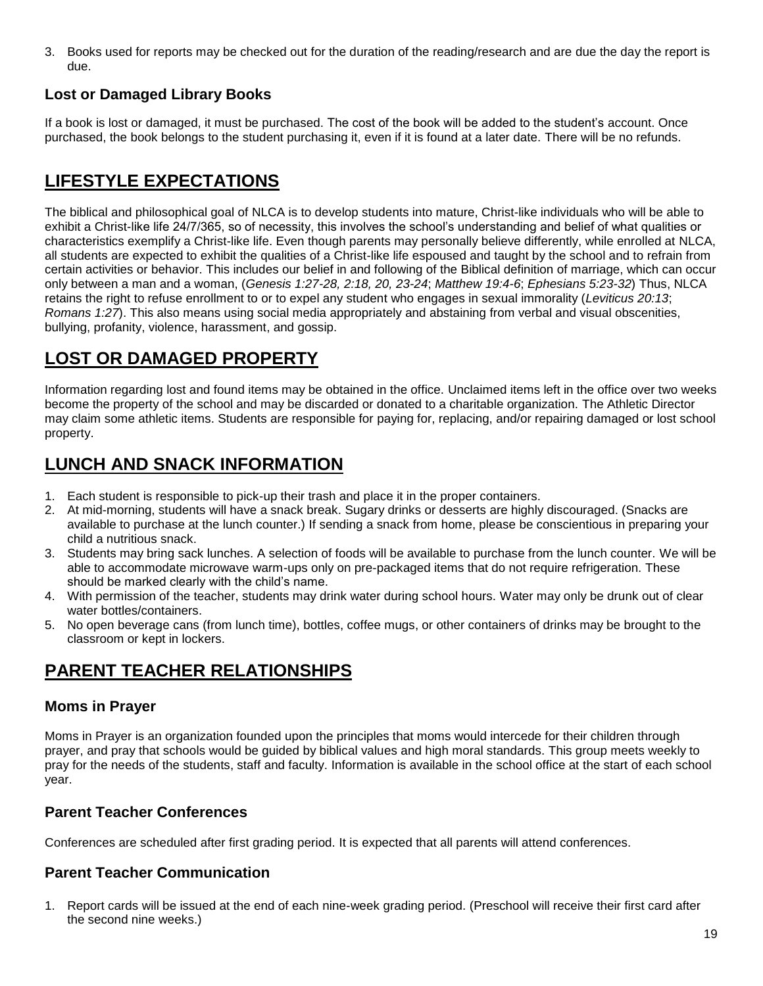3. Books used for reports may be checked out for the duration of the reading/research and are due the day the report is due.

### **Lost or Damaged Library Books**

If a book is lost or damaged, it must be purchased. The cost of the book will be added to the student's account. Once purchased, the book belongs to the student purchasing it, even if it is found at a later date. There will be no refunds.

## <span id="page-18-0"></span>**LIFESTYLE EXPECTATIONS**

The biblical and philosophical goal of NLCA is to develop students into mature, Christ-like individuals who will be able to exhibit a Christ-like life 24/7/365, so of necessity, this involves the school's understanding and belief of what qualities or characteristics exemplify a Christ-like life. Even though parents may personally believe differently, while enrolled at NLCA, all students are expected to exhibit the qualities of a Christ-like life espoused and taught by the school and to refrain from certain activities or behavior. This includes our belief in and following of the Biblical definition of marriage, which can occur only between a man and a woman, (*Genesis 1:27-28, 2:18, 20, 23-24*; *Matthew 19:4-6*; *Ephesians 5:23-32*) Thus, NLCA retains the right to refuse enrollment to or to expel any student who engages in sexual immorality (*Leviticus 20:13*; *Romans 1:27*). This also means using social media appropriately and abstaining from verbal and visual obscenities, bullying, profanity, violence, harassment, and gossip.

## <span id="page-18-1"></span>**LOST OR DAMAGED PROPERTY**

Information regarding lost and found items may be obtained in the office. Unclaimed items left in the office over two weeks become the property of the school and may be discarded or donated to a charitable organization. The Athletic Director may claim some athletic items. Students are responsible for paying for, replacing, and/or repairing damaged or lost school property.

## <span id="page-18-2"></span>**LUNCH AND SNACK INFORMATION**

- 1. Each student is responsible to pick-up their trash and place it in the proper containers.
- 2. At mid-morning, students will have a snack break. Sugary drinks or desserts are highly discouraged. (Snacks are available to purchase at the lunch counter.) If sending a snack from home, please be conscientious in preparing your child a nutritious snack.
- 3. Students may bring sack lunches. A selection of foods will be available to purchase from the lunch counter. We will be able to accommodate microwave warm-ups only on pre-packaged items that do not require refrigeration. These should be marked clearly with the child's name.
- 4. With permission of the teacher, students may drink water during school hours. Water may only be drunk out of clear water bottles/containers.
- 5. No open beverage cans (from lunch time), bottles, coffee mugs, or other containers of drinks may be brought to the classroom or kept in lockers.

## <span id="page-18-3"></span>**PARENT TEACHER RELATIONSHIPS**

### **Moms in Prayer**

Moms in Prayer is an organization founded upon the principles that moms would intercede for their children through prayer, and pray that schools would be guided by biblical values and high moral standards. This group meets weekly to pray for the needs of the students, staff and faculty. Information is available in the school office at the start of each school year.

### **Parent Teacher Conferences**

Conferences are scheduled after first grading period. It is expected that all parents will attend conferences.

### **Parent Teacher Communication**

1. Report cards will be issued at the end of each nine-week grading period. (Preschool will receive their first card after the second nine weeks.)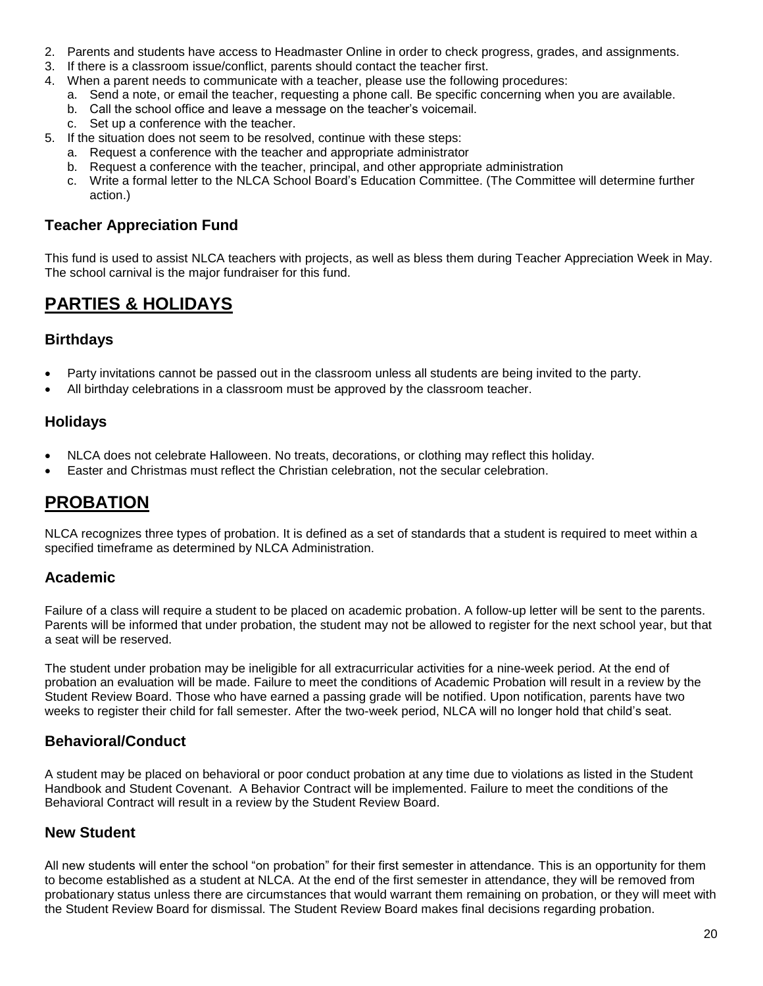- 2. Parents and students have access to Headmaster Online in order to check progress, grades, and assignments.
- 3. If there is a classroom issue/conflict, parents should contact the teacher first.
- 4. When a parent needs to communicate with a teacher, please use the following procedures:
	- a. Send a note, or email the teacher, requesting a phone call. Be specific concerning when you are available.
	- b. Call the school office and leave a message on the teacher's voicemail.
	- c. Set up a conference with the teacher.
- 5. If the situation does not seem to be resolved, continue with these steps:
	- a. Request a conference with the teacher and appropriate administrator
	- b. Request a conference with the teacher, principal, and other appropriate administration
	- c. Write a formal letter to the NLCA School Board's Education Committee. (The Committee will determine further action.)

#### **Teacher Appreciation Fund**

This fund is used to assist NLCA teachers with projects, as well as bless them during Teacher Appreciation Week in May. The school carnival is the major fundraiser for this fund.

### <span id="page-19-0"></span>**PARTIES & HOLIDAYS**

#### **Birthdays**

- Party invitations cannot be passed out in the classroom unless all students are being invited to the party.
- All birthday celebrations in a classroom must be approved by the classroom teacher.

#### **Holidays**

- NLCA does not celebrate Halloween. No treats, decorations, or clothing may reflect this holiday.
- Easter and Christmas must reflect the Christian celebration, not the secular celebration.

## <span id="page-19-1"></span>**PROBATION**

NLCA recognizes three types of probation. It is defined as a set of standards that a student is required to meet within a specified timeframe as determined by NLCA Administration.

#### **Academic**

Failure of a class will require a student to be placed on academic probation. A follow-up letter will be sent to the parents. Parents will be informed that under probation, the student may not be allowed to register for the next school year, but that a seat will be reserved.

The student under probation may be ineligible for all extracurricular activities for a nine-week period. At the end of probation an evaluation will be made. Failure to meet the conditions of Academic Probation will result in a review by the Student Review Board. Those who have earned a passing grade will be notified. Upon notification, parents have two weeks to register their child for fall semester. After the two-week period, NLCA will no longer hold that child's seat.

#### **Behavioral/Conduct**

A student may be placed on behavioral or poor conduct probation at any time due to violations as listed in the Student Handbook and Student Covenant. A Behavior Contract will be implemented. Failure to meet the conditions of the Behavioral Contract will result in a review by the Student Review Board.

#### **New Student**

All new students will enter the school "on probation" for their first semester in attendance. This is an opportunity for them to become established as a student at NLCA. At the end of the first semester in attendance, they will be removed from probationary status unless there are circumstances that would warrant them remaining on probation, or they will meet with the Student Review Board for dismissal. The Student Review Board makes final decisions regarding probation.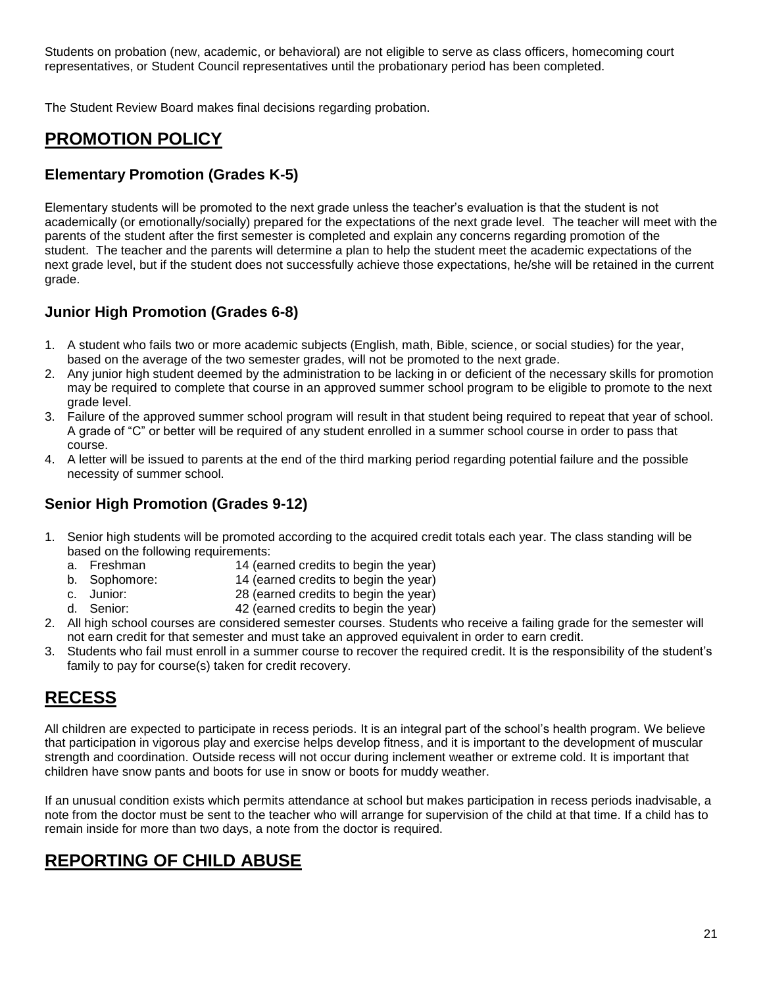Students on probation (new, academic, or behavioral) are not eligible to serve as class officers, homecoming court representatives, or Student Council representatives until the probationary period has been completed.

The Student Review Board makes final decisions regarding probation.

## <span id="page-20-0"></span>**PROMOTION POLICY**

### **Elementary Promotion (Grades K-5)**

Elementary students will be promoted to the next grade unless the teacher's evaluation is that the student is not academically (or emotionally/socially) prepared for the expectations of the next grade level. The teacher will meet with the parents of the student after the first semester is completed and explain any concerns regarding promotion of the student. The teacher and the parents will determine a plan to help the student meet the academic expectations of the next grade level, but if the student does not successfully achieve those expectations, he/she will be retained in the current grade.

### **Junior High Promotion (Grades 6-8)**

- 1. A student who fails two or more academic subjects (English, math, Bible, science, or social studies) for the year, based on the average of the two semester grades, will not be promoted to the next grade.
- 2. Any junior high student deemed by the administration to be lacking in or deficient of the necessary skills for promotion may be required to complete that course in an approved summer school program to be eligible to promote to the next grade level.
- 3. Failure of the approved summer school program will result in that student being required to repeat that year of school. A grade of "C" or better will be required of any student enrolled in a summer school course in order to pass that course.
- 4. A letter will be issued to parents at the end of the third marking period regarding potential failure and the possible necessity of summer school.

### **Senior High Promotion (Grades 9-12)**

- 1. Senior high students will be promoted according to the acquired credit totals each year. The class standing will be based on the following requirements:
	- a. Freshman 14 (earned credits to begin the year)
	- b. Sophomore: 14 (earned credits to begin the year)
	- c. Junior: 28 (earned credits to begin the year)
	- d. Senior: 42 (earned credits to begin the year)
- 2. All high school courses are considered semester courses. Students who receive a failing grade for the semester will not earn credit for that semester and must take an approved equivalent in order to earn credit.
- 3. Students who fail must enroll in a summer course to recover the required credit. It is the responsibility of the student's family to pay for course(s) taken for credit recovery.

## <span id="page-20-1"></span>**RECESS**

All children are expected to participate in recess periods. It is an integral part of the school's health program. We believe that participation in vigorous play and exercise helps develop fitness, and it is important to the development of muscular strength and coordination. Outside recess will not occur during inclement weather or extreme cold. It is important that children have snow pants and boots for use in snow or boots for muddy weather.

If an unusual condition exists which permits attendance at school but makes participation in recess periods inadvisable, a note from the doctor must be sent to the teacher who will arrange for supervision of the child at that time. If a child has to remain inside for more than two days, a note from the doctor is required.

## <span id="page-20-2"></span>**REPORTING OF CHILD ABUSE**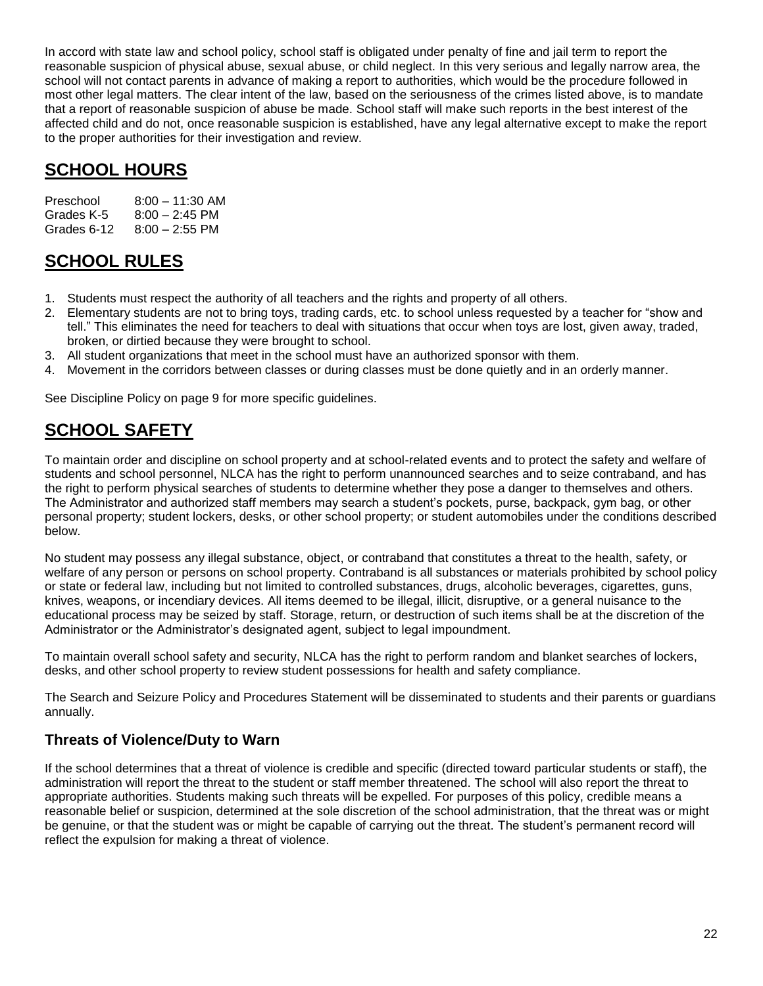In accord with state law and school policy, school staff is obligated under penalty of fine and jail term to report the reasonable suspicion of physical abuse, sexual abuse, or child neglect. In this very serious and legally narrow area, the school will not contact parents in advance of making a report to authorities, which would be the procedure followed in most other legal matters. The clear intent of the law, based on the seriousness of the crimes listed above, is to mandate that a report of reasonable suspicion of abuse be made. School staff will make such reports in the best interest of the affected child and do not, once reasonable suspicion is established, have any legal alternative except to make the report to the proper authorities for their investigation and review.

## <span id="page-21-0"></span>**SCHOOL HOURS**

| Preschool   | $8:00 - 11:30$ AM |
|-------------|-------------------|
| Grades K-5  | $8:00 - 2:45$ PM  |
| Grades 6-12 | $8:00 - 2:55$ PM  |

## <span id="page-21-1"></span>**SCHOOL RULES**

- 1. Students must respect the authority of all teachers and the rights and property of all others.
- 2. Elementary students are not to bring toys, trading cards, etc. to school unless requested by a teacher for "show and tell." This eliminates the need for teachers to deal with situations that occur when toys are lost, given away, traded, broken, or dirtied because they were brought to school.
- 3. All student organizations that meet in the school must have an authorized sponsor with them.
- 4. Movement in the corridors between classes or during classes must be done quietly and in an orderly manner.

See Discipline Policy on page 9 for more specific guidelines.

## <span id="page-21-2"></span>**SCHOOL SAFETY**

To maintain order and discipline on school property and at school-related events and to protect the safety and welfare of students and school personnel, NLCA has the right to perform unannounced searches and to seize contraband, and has the right to perform physical searches of students to determine whether they pose a danger to themselves and others. The Administrator and authorized staff members may search a student's pockets, purse, backpack, gym bag, or other personal property; student lockers, desks, or other school property; or student automobiles under the conditions described below.

No student may possess any illegal substance, object, or contraband that constitutes a threat to the health, safety, or welfare of any person or persons on school property. Contraband is all substances or materials prohibited by school policy or state or federal law, including but not limited to controlled substances, drugs, alcoholic beverages, cigarettes, guns, knives, weapons, or incendiary devices. All items deemed to be illegal, illicit, disruptive, or a general nuisance to the educational process may be seized by staff. Storage, return, or destruction of such items shall be at the discretion of the Administrator or the Administrator's designated agent, subject to legal impoundment.

To maintain overall school safety and security, NLCA has the right to perform random and blanket searches of lockers, desks, and other school property to review student possessions for health and safety compliance.

The Search and Seizure Policy and Procedures Statement will be disseminated to students and their parents or guardians annually.

### **Threats of Violence/Duty to Warn**

If the school determines that a threat of violence is credible and specific (directed toward particular students or staff), the administration will report the threat to the student or staff member threatened. The school will also report the threat to appropriate authorities. Students making such threats will be expelled. For purposes of this policy, credible means a reasonable belief or suspicion, determined at the sole discretion of the school administration, that the threat was or might be genuine, or that the student was or might be capable of carrying out the threat. The student's permanent record will reflect the expulsion for making a threat of violence.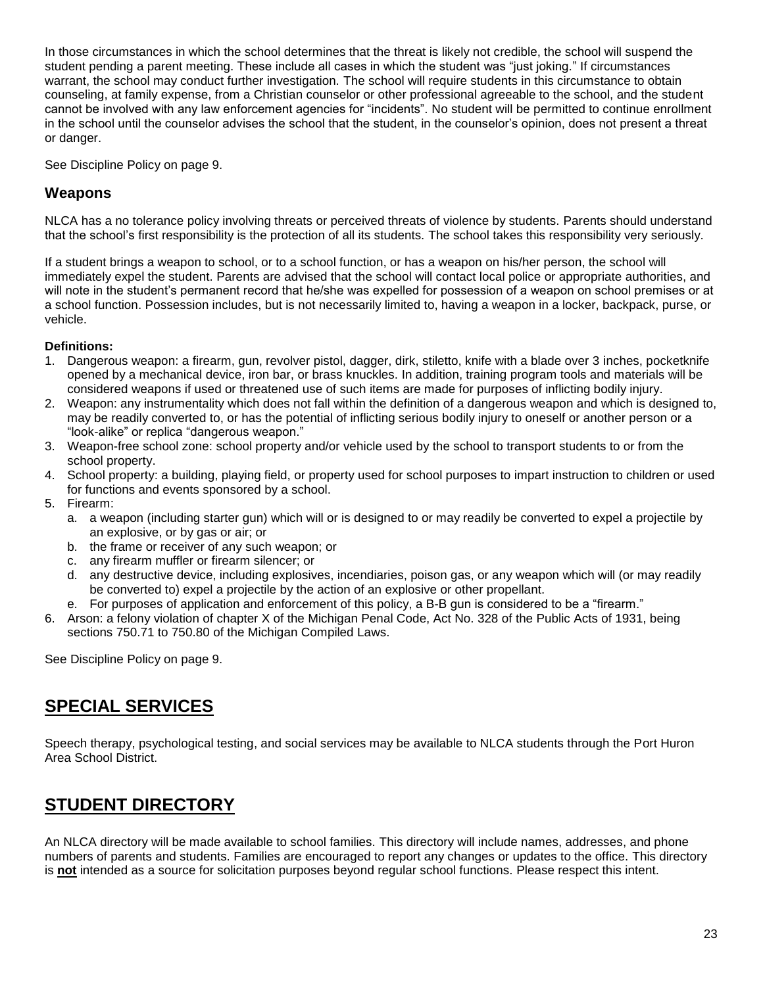In those circumstances in which the school determines that the threat is likely not credible, the school will suspend the student pending a parent meeting. These include all cases in which the student was "just joking." If circumstances warrant, the school may conduct further investigation. The school will require students in this circumstance to obtain counseling, at family expense, from a Christian counselor or other professional agreeable to the school, and the student cannot be involved with any law enforcement agencies for "incidents". No student will be permitted to continue enrollment in the school until the counselor advises the school that the student, in the counselor's opinion, does not present a threat or danger.

See Discipline Policy on page 9.

#### **Weapons**

NLCA has a no tolerance policy involving threats or perceived threats of violence by students. Parents should understand that the school's first responsibility is the protection of all its students. The school takes this responsibility very seriously.

If a student brings a weapon to school, or to a school function, or has a weapon on his/her person, the school will immediately expel the student. Parents are advised that the school will contact local police or appropriate authorities, and will note in the student's permanent record that he/she was expelled for possession of a weapon on school premises or at a school function. Possession includes, but is not necessarily limited to, having a weapon in a locker, backpack, purse, or vehicle.

#### **Definitions:**

- 1. Dangerous weapon: a firearm, gun, revolver pistol, dagger, dirk, stiletto, knife with a blade over 3 inches, pocketknife opened by a mechanical device, iron bar, or brass knuckles. In addition, training program tools and materials will be considered weapons if used or threatened use of such items are made for purposes of inflicting bodily injury.
- 2. Weapon: any instrumentality which does not fall within the definition of a dangerous weapon and which is designed to, may be readily converted to, or has the potential of inflicting serious bodily injury to oneself or another person or a "look-alike" or replica "dangerous weapon."
- 3. Weapon-free school zone: school property and/or vehicle used by the school to transport students to or from the school property.
- 4. School property: a building, playing field, or property used for school purposes to impart instruction to children or used for functions and events sponsored by a school.
- 5. Firearm:
	- a. a weapon (including starter gun) which will or is designed to or may readily be converted to expel a projectile by an explosive, or by gas or air; or
	- b. the frame or receiver of any such weapon; or
	- c. any firearm muffler or firearm silencer; or
	- d. any destructive device, including explosives, incendiaries, poison gas, or any weapon which will (or may readily be converted to) expel a projectile by the action of an explosive or other propellant.
	- e. For purposes of application and enforcement of this policy, a B-B gun is considered to be a "firearm."
- 6. Arson: a felony violation of chapter X of the Michigan Penal Code, Act No. 328 of the Public Acts of 1931, being sections 750.71 to 750.80 of the Michigan Compiled Laws.

<span id="page-22-0"></span>See Discipline Policy on page 9.

## **SPECIAL SERVICES**

<span id="page-22-1"></span>Speech therapy, psychological testing, and social services may be available to NLCA students through the Port Huron Area School District.

## **STUDENT DIRECTORY**

An NLCA directory will be made available to school families. This directory will include names, addresses, and phone numbers of parents and students. Families are encouraged to report any changes or updates to the office. This directory is **not** intended as a source for solicitation purposes beyond regular school functions. Please respect this intent.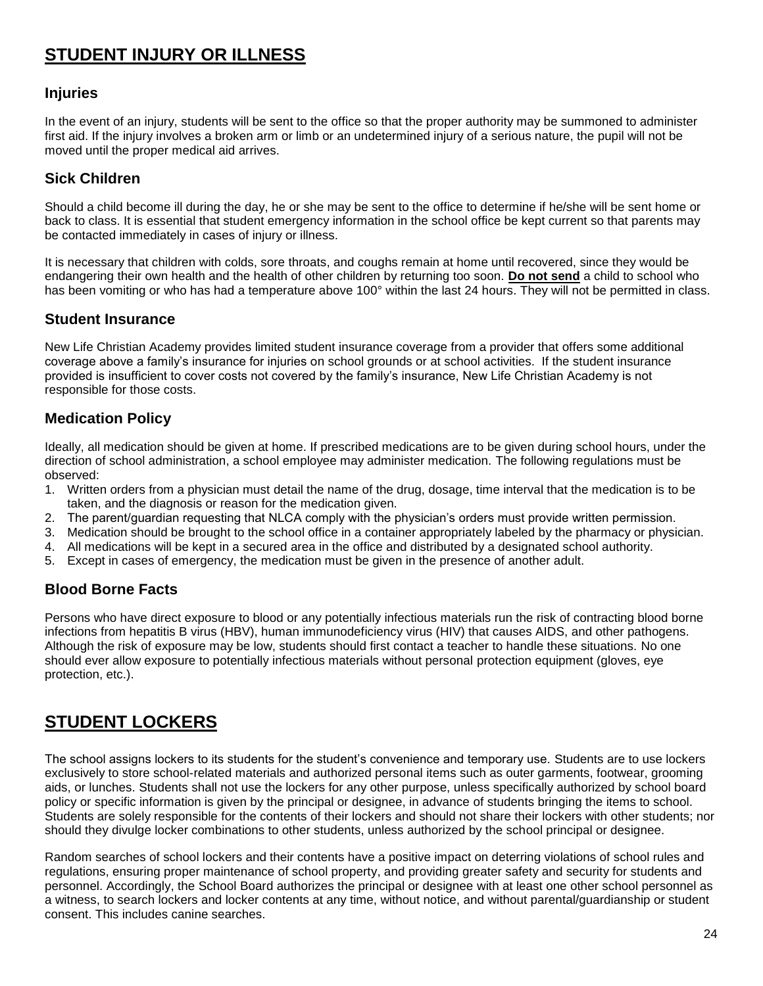## <span id="page-23-0"></span>**STUDENT INJURY OR ILLNESS**

#### **Injuries**

In the event of an injury, students will be sent to the office so that the proper authority may be summoned to administer first aid. If the injury involves a broken arm or limb or an undetermined injury of a serious nature, the pupil will not be moved until the proper medical aid arrives.

#### **Sick Children**

Should a child become ill during the day, he or she may be sent to the office to determine if he/she will be sent home or back to class. It is essential that student emergency information in the school office be kept current so that parents may be contacted immediately in cases of injury or illness.

It is necessary that children with colds, sore throats, and coughs remain at home until recovered, since they would be endangering their own health and the health of other children by returning too soon. **Do not send** a child to school who has been vomiting or who has had a temperature above 100° within the last 24 hours. They will not be permitted in class.

#### **Student Insurance**

New Life Christian Academy provides limited student insurance coverage from a provider that offers some additional coverage above a family's insurance for injuries on school grounds or at school activities. If the student insurance provided is insufficient to cover costs not covered by the family's insurance, New Life Christian Academy is not responsible for those costs.

#### **Medication Policy**

Ideally, all medication should be given at home. If prescribed medications are to be given during school hours, under the direction of school administration, a school employee may administer medication. The following regulations must be observed:

- 1. Written orders from a physician must detail the name of the drug, dosage, time interval that the medication is to be taken, and the diagnosis or reason for the medication given.
- 2. The parent/guardian requesting that NLCA comply with the physician's orders must provide written permission.
- 3. Medication should be brought to the school office in a container appropriately labeled by the pharmacy or physician.
- 4. All medications will be kept in a secured area in the office and distributed by a designated school authority.
- 5. Except in cases of emergency, the medication must be given in the presence of another adult.

#### **Blood Borne Facts**

Persons who have direct exposure to blood or any potentially infectious materials run the risk of contracting blood borne infections from hepatitis B virus (HBV), human immunodeficiency virus (HIV) that causes AIDS, and other pathogens. Although the risk of exposure may be low, students should first contact a teacher to handle these situations. No one should ever allow exposure to potentially infectious materials without personal protection equipment (gloves, eye protection, etc.).

## <span id="page-23-1"></span>**STUDENT LOCKERS**

The school assigns lockers to its students for the student's convenience and temporary use. Students are to use lockers exclusively to store school-related materials and authorized personal items such as outer garments, footwear, grooming aids, or lunches. Students shall not use the lockers for any other purpose, unless specifically authorized by school board policy or specific information is given by the principal or designee, in advance of students bringing the items to school. Students are solely responsible for the contents of their lockers and should not share their lockers with other students; nor should they divulge locker combinations to other students, unless authorized by the school principal or designee.

Random searches of school lockers and their contents have a positive impact on deterring violations of school rules and regulations, ensuring proper maintenance of school property, and providing greater safety and security for students and personnel. Accordingly, the School Board authorizes the principal or designee with at least one other school personnel as a witness, to search lockers and locker contents at any time, without notice, and without parental/guardianship or student consent. This includes canine searches.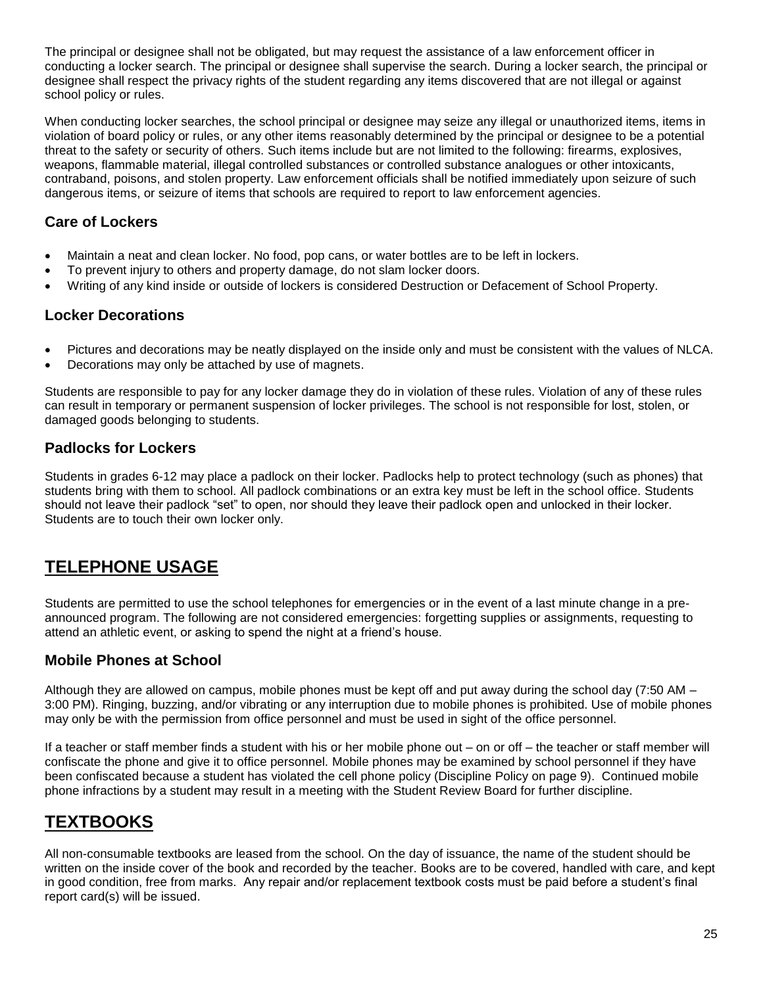The principal or designee shall not be obligated, but may request the assistance of a law enforcement officer in conducting a locker search. The principal or designee shall supervise the search. During a locker search, the principal or designee shall respect the privacy rights of the student regarding any items discovered that are not illegal or against school policy or rules.

When conducting locker searches, the school principal or designee may seize any illegal or unauthorized items, items in violation of board policy or rules, or any other items reasonably determined by the principal or designee to be a potential threat to the safety or security of others. Such items include but are not limited to the following: firearms, explosives, weapons, flammable material, illegal controlled substances or controlled substance analogues or other intoxicants, contraband, poisons, and stolen property. Law enforcement officials shall be notified immediately upon seizure of such dangerous items, or seizure of items that schools are required to report to law enforcement agencies.

### **Care of Lockers**

- Maintain a neat and clean locker. No food, pop cans, or water bottles are to be left in lockers.
- To prevent injury to others and property damage, do not slam locker doors.
- Writing of any kind inside or outside of lockers is considered Destruction or Defacement of School Property.

### **Locker Decorations**

- Pictures and decorations may be neatly displayed on the inside only and must be consistent with the values of NLCA.
- Decorations may only be attached by use of magnets.

Students are responsible to pay for any locker damage they do in violation of these rules. Violation of any of these rules can result in temporary or permanent suspension of locker privileges. The school is not responsible for lost, stolen, or damaged goods belonging to students.

### **Padlocks for Lockers**

Students in grades 6-12 may place a padlock on their locker. Padlocks help to protect technology (such as phones) that students bring with them to school. All padlock combinations or an extra key must be left in the school office. Students should not leave their padlock "set" to open, nor should they leave their padlock open and unlocked in their locker. Students are to touch their own locker only.

## <span id="page-24-0"></span>**TELEPHONE USAGE**

Students are permitted to use the school telephones for emergencies or in the event of a last minute change in a preannounced program. The following are not considered emergencies: forgetting supplies or assignments, requesting to attend an athletic event, or asking to spend the night at a friend's house.

### **Mobile Phones at School**

Although they are allowed on campus, mobile phones must be kept off and put away during the school day (7:50 AM – 3:00 PM). Ringing, buzzing, and/or vibrating or any interruption due to mobile phones is prohibited. Use of mobile phones may only be with the permission from office personnel and must be used in sight of the office personnel.

If a teacher or staff member finds a student with his or her mobile phone out – on or off – the teacher or staff member will confiscate the phone and give it to office personnel. Mobile phones may be examined by school personnel if they have been confiscated because a student has violated the cell phone policy (Discipline Policy on page 9). Continued mobile phone infractions by a student may result in a meeting with the Student Review Board for further discipline.

## <span id="page-24-1"></span>**TEXTBOOKS**

All non-consumable textbooks are leased from the school. On the day of issuance, the name of the student should be written on the inside cover of the book and recorded by the teacher. Books are to be covered, handled with care, and kept in good condition, free from marks. Any repair and/or replacement textbook costs must be paid before a student's final report card(s) will be issued.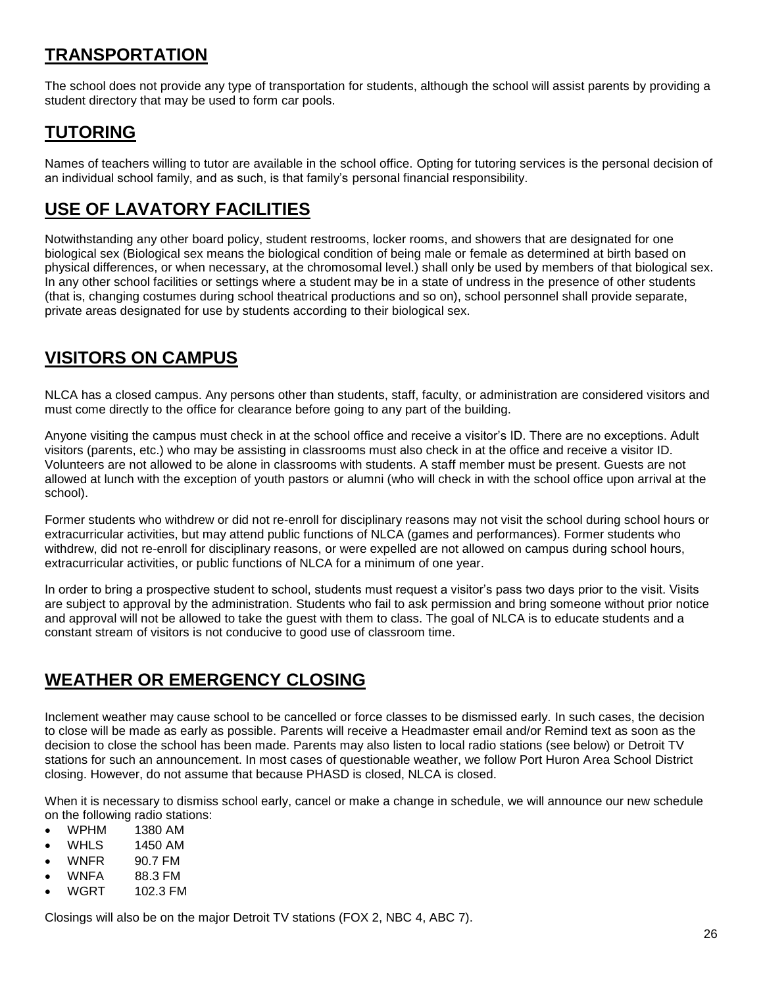## <span id="page-25-0"></span>**TRANSPORTATION**

The school does not provide any type of transportation for students, although the school will assist parents by providing a student directory that may be used to form car pools.

## <span id="page-25-1"></span>**TUTORING**

Names of teachers willing to tutor are available in the school office. Opting for tutoring services is the personal decision of an individual school family, and as such, is that family's personal financial responsibility.

## <span id="page-25-2"></span>**USE OF LAVATORY FACILITIES**

Notwithstanding any other board policy, student restrooms, locker rooms, and showers that are designated for one biological sex (Biological sex means the biological condition of being male or female as determined at birth based on physical differences, or when necessary, at the chromosomal level.) shall only be used by members of that biological sex. In any other school facilities or settings where a student may be in a state of undress in the presence of other students (that is, changing costumes during school theatrical productions and so on), school personnel shall provide separate, private areas designated for use by students according to their biological sex.

## <span id="page-25-3"></span>**VISITORS ON CAMPUS**

NLCA has a closed campus. Any persons other than students, staff, faculty, or administration are considered visitors and must come directly to the office for clearance before going to any part of the building.

Anyone visiting the campus must check in at the school office and receive a visitor's ID. There are no exceptions. Adult visitors (parents, etc.) who may be assisting in classrooms must also check in at the office and receive a visitor ID. Volunteers are not allowed to be alone in classrooms with students. A staff member must be present. Guests are not allowed at lunch with the exception of youth pastors or alumni (who will check in with the school office upon arrival at the school).

Former students who withdrew or did not re-enroll for disciplinary reasons may not visit the school during school hours or extracurricular activities, but may attend public functions of NLCA (games and performances). Former students who withdrew, did not re-enroll for disciplinary reasons, or were expelled are not allowed on campus during school hours, extracurricular activities, or public functions of NLCA for a minimum of one year.

In order to bring a prospective student to school, students must request a visitor's pass two days prior to the visit. Visits are subject to approval by the administration. Students who fail to ask permission and bring someone without prior notice and approval will not be allowed to take the guest with them to class. The goal of NLCA is to educate students and a constant stream of visitors is not conducive to good use of classroom time.

## <span id="page-25-4"></span>**WEATHER OR EMERGENCY CLOSING**

Inclement weather may cause school to be cancelled or force classes to be dismissed early. In such cases, the decision to close will be made as early as possible. Parents will receive a Headmaster email and/or Remind text as soon as the decision to close the school has been made. Parents may also listen to local radio stations (see below) or Detroit TV stations for such an announcement. In most cases of questionable weather, we follow Port Huron Area School District closing. However, do not assume that because PHASD is closed, NLCA is closed.

When it is necessary to dismiss school early, cancel or make a change in schedule, we will announce our new schedule on the following radio stations:

- WPHM 1380 AM
- WHLS 1450 AM
- WNFR 90.7 FM
- WNFA 88.3 FM
- WGRT 102.3 FM

Closings will also be on the major Detroit TV stations (FOX 2, NBC 4, ABC 7).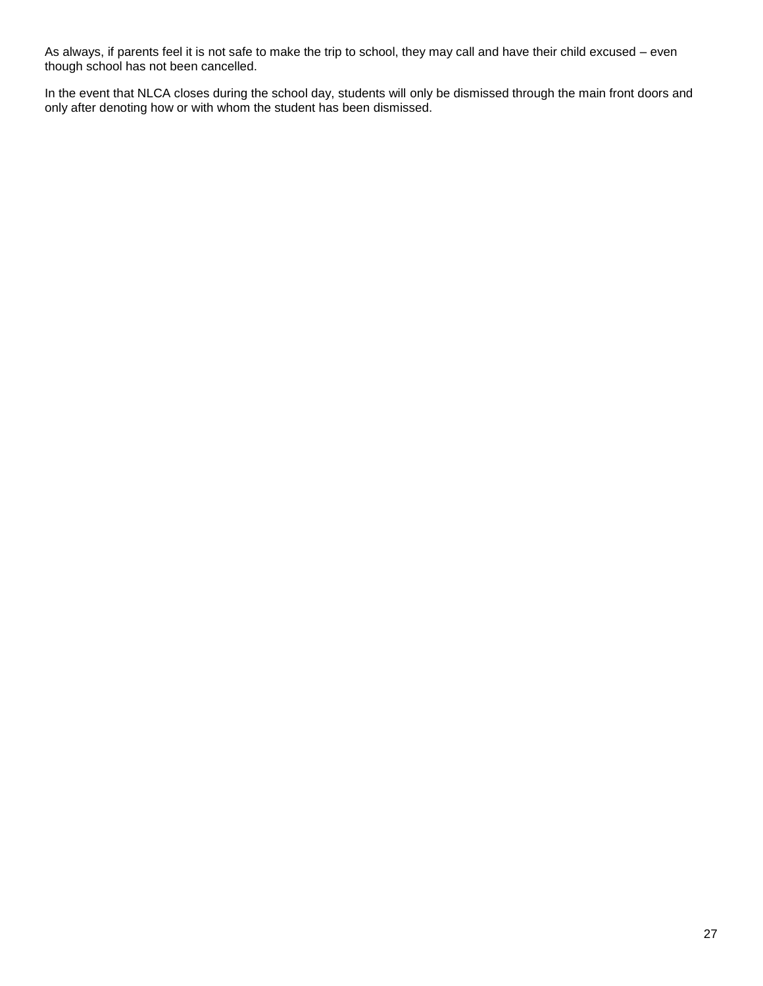As always, if parents feel it is not safe to make the trip to school, they may call and have their child excused – even though school has not been cancelled.

In the event that NLCA closes during the school day, students will only be dismissed through the main front doors and only after denoting how or with whom the student has been dismissed.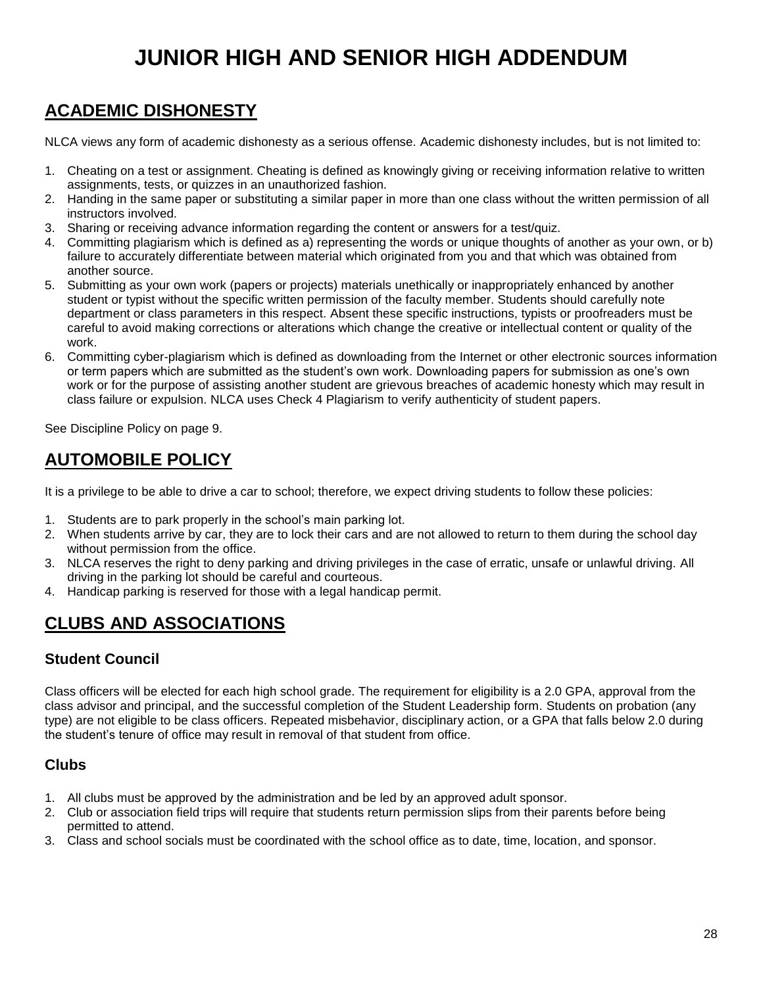# **JUNIOR HIGH AND SENIOR HIGH ADDENDUM**

## <span id="page-27-1"></span><span id="page-27-0"></span>**ACADEMIC DISHONESTY**

NLCA views any form of academic dishonesty as a serious offense. Academic dishonesty includes, but is not limited to:

- 1. Cheating on a test or assignment. Cheating is defined as knowingly giving or receiving information relative to written assignments, tests, or quizzes in an unauthorized fashion.
- 2. Handing in the same paper or substituting a similar paper in more than one class without the written permission of all instructors involved.
- 3. Sharing or receiving advance information regarding the content or answers for a test/quiz.
- 4. Committing plagiarism which is defined as a) representing the words or unique thoughts of another as your own, or b) failure to accurately differentiate between material which originated from you and that which was obtained from another source.
- 5. Submitting as your own work (papers or projects) materials unethically or inappropriately enhanced by another student or typist without the specific written permission of the faculty member. Students should carefully note department or class parameters in this respect. Absent these specific instructions, typists or proofreaders must be careful to avoid making corrections or alterations which change the creative or intellectual content or quality of the work.
- 6. Committing cyber-plagiarism which is defined as downloading from the Internet or other electronic sources information or term papers which are submitted as the student's own work. Downloading papers for submission as one's own work or for the purpose of assisting another student are grievous breaches of academic honesty which may result in class failure or expulsion. NLCA uses Check 4 Plagiarism to verify authenticity of student papers.

See Discipline Policy on page 9.

## <span id="page-27-2"></span>**AUTOMOBILE POLICY**

<span id="page-27-3"></span>It is a privilege to be able to drive a car to school; therefore, we expect driving students to follow these policies:

- 1. Students are to park properly in the school's main parking lot.
- 2. When students arrive by car, they are to lock their cars and are not allowed to return to them during the school day without permission from the office.
- 3. NLCA reserves the right to deny parking and driving privileges in the case of erratic, unsafe or unlawful driving. All driving in the parking lot should be careful and courteous.
- 4. Handicap parking is reserved for those with a legal handicap permit.

## **CLUBS AND ASSOCIATIONS**

### **Student Council**

Class officers will be elected for each high school grade. The requirement for eligibility is a 2.0 GPA, approval from the class advisor and principal, and the successful completion of the Student Leadership form. Students on probation (any type) are not eligible to be class officers. Repeated misbehavior, disciplinary action, or a GPA that falls below 2.0 during the student's tenure of office may result in removal of that student from office.

#### **Clubs**

- 1. All clubs must be approved by the administration and be led by an approved adult sponsor.
- 2. Club or association field trips will require that students return permission slips from their parents before being permitted to attend.
- 3. Class and school socials must be coordinated with the school office as to date, time, location, and sponsor.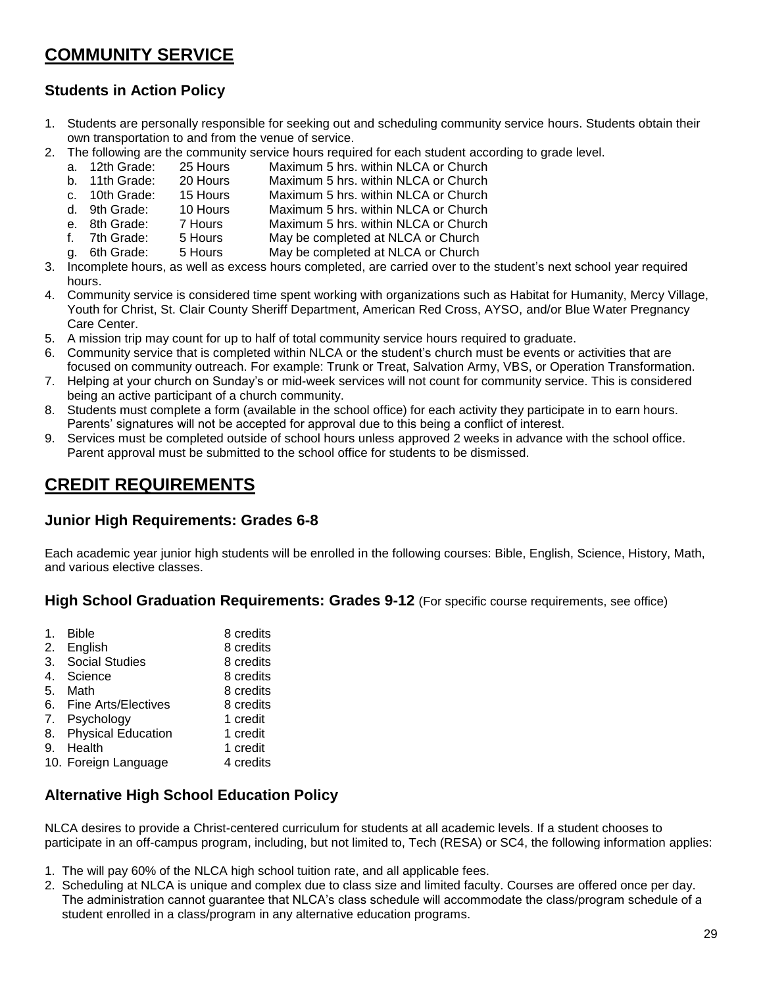## <span id="page-28-0"></span>**COMMUNITY SERVICE**

### **Students in Action Policy**

- 1. Students are personally responsible for seeking out and scheduling community service hours. Students obtain their own transportation to and from the venue of service.
- 2. The following are the community service hours required for each student according to grade level.<br>
a. 12th Grade: 25 Hours Maximum 5 hrs. within NLCA or Church
	- a. 12th Grade: 25 Hours Maximum 5 hrs. within NLCA or Church
	- b. 11th Grade: 20 Hours Maximum 5 hrs. within NLCA or Church
	- c. 10th Grade: 15 Hours Maximum 5 hrs. within NLCA or Church
	- d. 9th Grade: 10 Hours Maximum 5 hrs. within NLCA or Church
	- e. 8th Grade: 7 Hours Maximum 5 hrs. within NLCA or Church
	- f. 7th Grade: 5 Hours May be completed at NLCA or Church
	- g. 6th Grade: 5 Hours May be completed at NLCA or Church
- 3. Incomplete hours, as well as excess hours completed, are carried over to the student's next school year required hours.
- 4. Community service is considered time spent working with organizations such as Habitat for Humanity, Mercy Village, Youth for Christ, St. Clair County Sheriff Department, American Red Cross, AYSO, and/or Blue Water Pregnancy Care Center.
- 5. A mission trip may count for up to half of total community service hours required to graduate.
- 6. Community service that is completed within NLCA or the student's church must be events or activities that are focused on community outreach. For example: Trunk or Treat, Salvation Army, VBS, or Operation Transformation.
- 7. Helping at your church on Sunday's or mid-week services will not count for community service. This is considered being an active participant of a church community.
- 8. Students must complete a form (available in the school office) for each activity they participate in to earn hours. Parents' signatures will not be accepted for approval due to this being a conflict of interest.
- 9. Services must be completed outside of school hours unless approved 2 weeks in advance with the school office. Parent approval must be submitted to the school office for students to be dismissed.

## <span id="page-28-1"></span>**CREDIT REQUIREMENTS**

### **Junior High Requirements: Grades 6-8**

Each academic year junior high students will be enrolled in the following courses: Bible, English, Science, History, Math, and various elective classes.

**High School Graduation Requirements: Grades 9-12** (For specific course requirements, see office)

### **Alternative High School Education Policy**

NLCA desires to provide a Christ-centered curriculum for students at all academic levels. If a student chooses to participate in an off-campus program, including, but not limited to, Tech (RESA) or SC4, the following information applies:

- 1. The will pay 60% of the NLCA high school tuition rate, and all applicable fees.
- 2. Scheduling at NLCA is unique and complex due to class size and limited faculty. Courses are offered once per day. The administration cannot guarantee that NLCA's class schedule will accommodate the class/program schedule of a student enrolled in a class/program in any alternative education programs.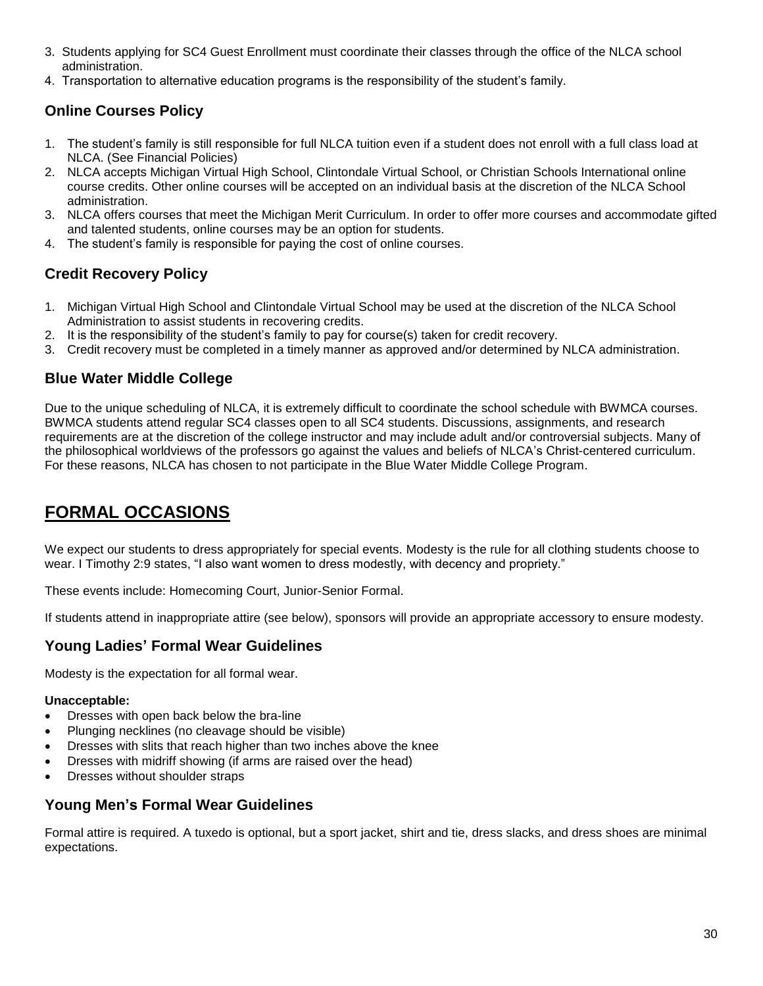- 3. Students applying for SC4 Guest Enrollment must coordinate their classes through the office of the NLCA school administration.
- 4. Transportation to alternative education programs is the responsibility of the student's family.

### **Online Courses Policy**

- 1. The student's family is still responsible for full NLCA tuition even if a student does not enroll with a full class load at NLCA. (See Financial Policies)
- 2. NLCA accepts Michigan Virtual High School, Clintondale Virtual School, or Christian Schools International online course credits. Other online courses will be accepted on an individual basis at the discretion of the NLCA School administration.
- 3. NLCA offers courses that meet the Michigan Merit Curriculum. In order to offer more courses and accommodate gifted and talented students, online courses may be an option for students.
- 4. The student's family is responsible for paying the cost of online courses.

### **Credit Recovery Policy**

- 1. Michigan Virtual High School and Clintondale Virtual School may be used at the discretion of the NLCA School Administration to assist students in recovering credits.
- 2. It is the responsibility of the student's family to pay for course(s) taken for credit recovery.
- 3. Credit recovery must be completed in a timely manner as approved and/or determined by NLCA administration.

#### **Blue Water Middle College**

Due to the unique scheduling of NLCA, it is extremely difficult to coordinate the school schedule with BWMCA courses. BWMCA students attend regular SC4 classes open to all SC4 students. Discussions, assignments, and research requirements are at the discretion of the college instructor and may include adult and/or controversial subjects. Many of the philosophical worldviews of the professors go against the values and beliefs of NLCA's Christ-centered curriculum. For these reasons, NLCA has chosen to not participate in the Blue Water Middle College Program.

## <span id="page-29-0"></span>**FORMAL OCCASIONS**

We expect our students to dress appropriately for special events. Modesty is the rule for all clothing students choose to wear. I Timothy 2:9 states, "I also want women to dress modestly, with decency and propriety."

These events include: Homecoming Court, Junior-Senior Formal.

If students attend in inappropriate attire (see below), sponsors will provide an appropriate accessory to ensure modesty.

#### **Young Ladies' Formal Wear Guidelines**

Modesty is the expectation for all formal wear.

#### **Unacceptable:**

- Dresses with open back below the bra-line
- Plunging necklines (no cleavage should be visible)
- Dresses with slits that reach higher than two inches above the knee
- Dresses with midriff showing (if arms are raised over the head)
- Dresses without shoulder straps

#### **Young Men's Formal Wear Guidelines**

Formal attire is required. A tuxedo is optional, but a sport jacket, shirt and tie, dress slacks, and dress shoes are minimal expectations.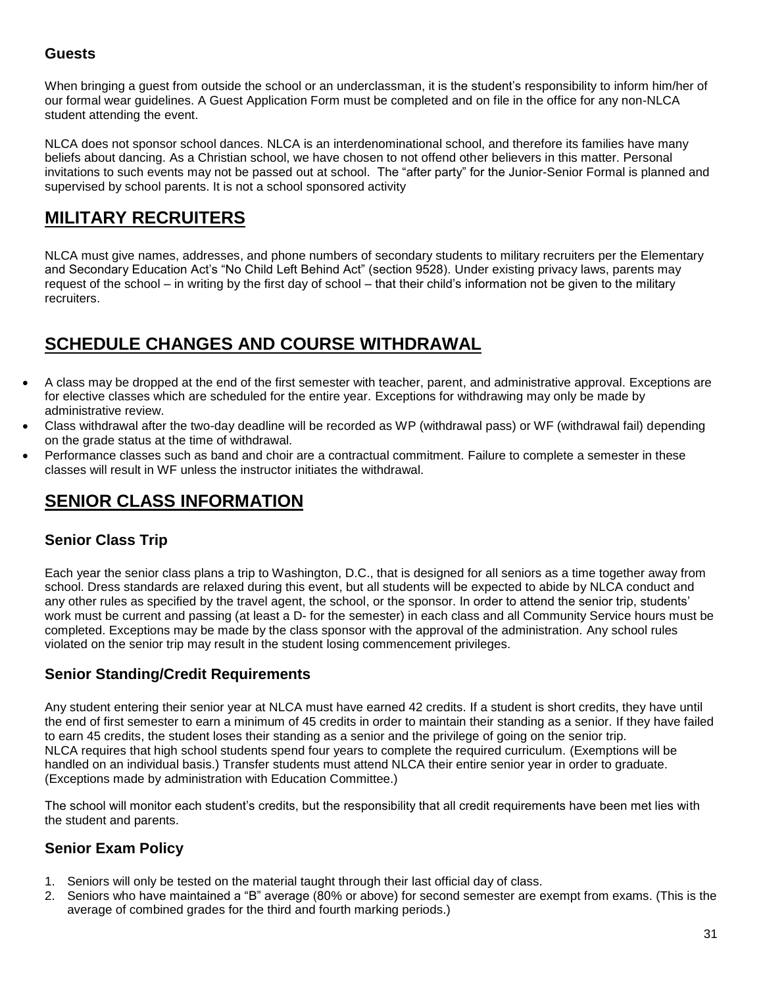### **Guests**

When bringing a quest from outside the school or an underclassman, it is the student's responsibility to inform him/her of our formal wear guidelines. A Guest Application Form must be completed and on file in the office for any non-NLCA student attending the event.

NLCA does not sponsor school dances. NLCA is an interdenominational school, and therefore its families have many beliefs about dancing. As a Christian school, we have chosen to not offend other believers in this matter. Personal invitations to such events may not be passed out at school. The "after party" for the Junior-Senior Formal is planned and supervised by school parents. It is not a school sponsored activity

## <span id="page-30-0"></span>**MILITARY RECRUITERS**

NLCA must give names, addresses, and phone numbers of secondary students to military recruiters per the Elementary and Secondary Education Act's "No Child Left Behind Act" (section 9528). Under existing privacy laws, parents may request of the school – in writing by the first day of school – that their child's information not be given to the military recruiters.

## <span id="page-30-1"></span>**SCHEDULE CHANGES AND COURSE WITHDRAWAL**

- A class may be dropped at the end of the first semester with teacher, parent, and administrative approval. Exceptions are for elective classes which are scheduled for the entire year. Exceptions for withdrawing may only be made by administrative review.
- Class withdrawal after the two-day deadline will be recorded as WP (withdrawal pass) or WF (withdrawal fail) depending on the grade status at the time of withdrawal.
- Performance classes such as band and choir are a contractual commitment. Failure to complete a semester in these classes will result in WF unless the instructor initiates the withdrawal.

## <span id="page-30-2"></span>**SENIOR CLASS INFORMATION**

### **Senior Class Trip**

Each year the senior class plans a trip to Washington, D.C., that is designed for all seniors as a time together away from school. Dress standards are relaxed during this event, but all students will be expected to abide by NLCA conduct and any other rules as specified by the travel agent, the school, or the sponsor. In order to attend the senior trip, students' work must be current and passing (at least a D- for the semester) in each class and all Community Service hours must be completed. Exceptions may be made by the class sponsor with the approval of the administration. Any school rules violated on the senior trip may result in the student losing commencement privileges.

#### **Senior Standing/Credit Requirements**

Any student entering their senior year at NLCA must have earned 42 credits. If a student is short credits, they have until the end of first semester to earn a minimum of 45 credits in order to maintain their standing as a senior. If they have failed to earn 45 credits, the student loses their standing as a senior and the privilege of going on the senior trip. NLCA requires that high school students spend four years to complete the required curriculum. (Exemptions will be handled on an individual basis.) Transfer students must attend NLCA their entire senior year in order to graduate. (Exceptions made by administration with Education Committee.)

The school will monitor each student's credits, but the responsibility that all credit requirements have been met lies with the student and parents.

### **Senior Exam Policy**

- 1. Seniors will only be tested on the material taught through their last official day of class.
- 2. Seniors who have maintained a "B" average (80% or above) for second semester are exempt from exams. (This is the average of combined grades for the third and fourth marking periods.)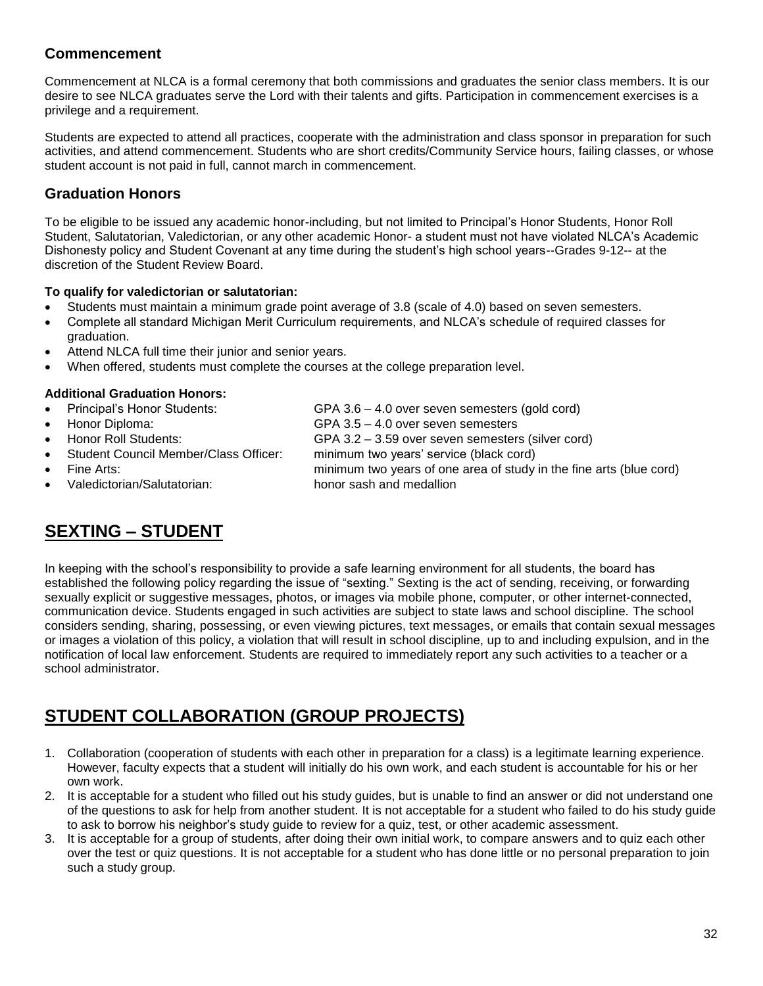### **Commencement**

Commencement at NLCA is a formal ceremony that both commissions and graduates the senior class members. It is our desire to see NLCA graduates serve the Lord with their talents and gifts. Participation in commencement exercises is a privilege and a requirement.

Students are expected to attend all practices, cooperate with the administration and class sponsor in preparation for such activities, and attend commencement. Students who are short credits/Community Service hours, failing classes, or whose student account is not paid in full, cannot march in commencement.

### **Graduation Honors**

To be eligible to be issued any academic honor-including, but not limited to Principal's Honor Students, Honor Roll Student, Salutatorian, Valedictorian, or any other academic Honor- a student must not have violated NLCA's Academic Dishonesty policy and Student Covenant at any time during the student's high school years--Grades 9-12-- at the discretion of the Student Review Board.

#### **To qualify for valedictorian or salutatorian:**

- Students must maintain a minimum grade point average of 3.8 (scale of 4.0) based on seven semesters.
- Complete all standard Michigan Merit Curriculum requirements, and NLCA's schedule of required classes for graduation.
- Attend NLCA full time their junior and senior years.
- When offered, students must complete the courses at the college preparation level.

#### **Additional Graduation Honors:**

- Principal's Honor Students: GPA 3.6 4.0 over seven semesters (gold cord) Honor Diploma: GPA 3.5 – 4.0 over seven semesters
	-
	- Honor Roll Students: GPA 3.2 3.59 over seven semesters (silver cord)
	- Student Council Member/Class Officer: minimum two years' service (black cord)
- 
- <span id="page-31-0"></span>Valedictorian/Salutatorian: honor sash and medallion

Fine Arts: minimum two years of one area of study in the fine arts (blue cord)

# **SEXTING – STUDENT**

In keeping with the school's responsibility to provide a safe learning environment for all students, the board has established the following policy regarding the issue of "sexting." Sexting is the act of sending, receiving, or forwarding sexually explicit or suggestive messages, photos, or images via mobile phone, computer, or other internet-connected, communication device. Students engaged in such activities are subject to state laws and school discipline. The school considers sending, sharing, possessing, or even viewing pictures, text messages, or emails that contain sexual messages or images a violation of this policy, a violation that will result in school discipline, up to and including expulsion, and in the notification of local law enforcement. Students are required to immediately report any such activities to a teacher or a school administrator.

## <span id="page-31-1"></span>**STUDENT COLLABORATION (GROUP PROJECTS)**

- 1. Collaboration (cooperation of students with each other in preparation for a class) is a legitimate learning experience. However, faculty expects that a student will initially do his own work, and each student is accountable for his or her own work.
- 2. It is acceptable for a student who filled out his study guides, but is unable to find an answer or did not understand one of the questions to ask for help from another student. It is not acceptable for a student who failed to do his study guide to ask to borrow his neighbor's study guide to review for a quiz, test, or other academic assessment.
- 3. It is acceptable for a group of students, after doing their own initial work, to compare answers and to quiz each other over the test or quiz questions. It is not acceptable for a student who has done little or no personal preparation to join such a study group.